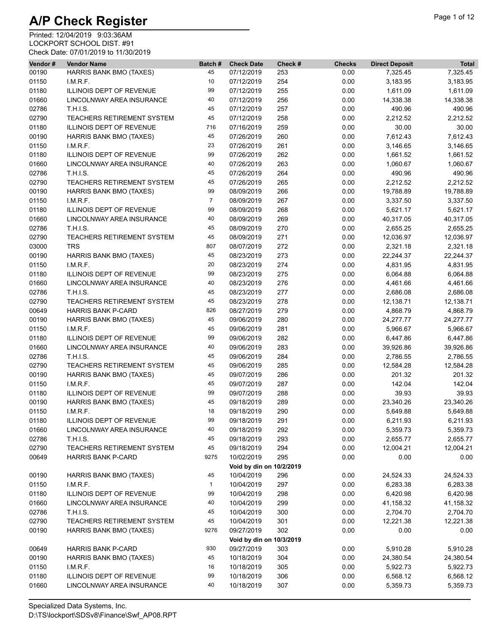| Vendor# | <b>Vendor Name</b>                | Batch#         | <b>Check Date</b>        | Check #    | <b>Checks</b> | <b>Direct Deposit</b> | <b>Total</b> |
|---------|-----------------------------------|----------------|--------------------------|------------|---------------|-----------------------|--------------|
| 00190   | HARRIS BANK BMO (TAXES)           | 45             | 07/12/2019               | 253        | 0.00          | 7,325.45              | 7,325.45     |
| 01150   | I.M.R.F.                          | 10             | 07/12/2019               | 254        | 0.00          | 3,183.95              | 3,183.95     |
| 01180   | ILLINOIS DEPT OF REVENUE          | 99             | 07/12/2019               | 255        | 0.00          | 1,611.09              | 1,611.09     |
| 01660   | LINCOLNWAY AREA INSURANCE         | 40             | 07/12/2019               | 256        | 0.00          | 14,338.38             | 14,338.38    |
| 02786   | <b>T.H.I.S.</b>                   | 45             | 07/12/2019               | 257        | 0.00          | 490.96                | 490.96       |
| 02790   | TEACHERS RETIREMENT SYSTEM        | 45             | 07/12/2019               | 258        | 0.00          | 2,212.52              | 2,212.52     |
| 01180   | <b>ILLINOIS DEPT OF REVENUE</b>   | 716            | 07/16/2019               | 259        | 0.00          | 30.00                 | 30.00        |
| 00190   | HARRIS BANK BMO (TAXES)           | 45             | 07/26/2019               | 260        | 0.00          | 7,612.43              | 7,612.43     |
| 01150   | LM.R.F.                           | 23             | 07/26/2019               | 261        | 0.00          | 3,146.65              | 3,146.65     |
| 01180   | ILLINOIS DEPT OF REVENUE          | 99             | 07/26/2019               | 262        | 0.00          | 1,661.52              | 1,661.52     |
| 01660   | LINCOLNWAY AREA INSURANCE         | 40             | 07/26/2019               | 263        | 0.00          | 1,060.67              | 1,060.67     |
| 02786   | <b>T.H.I.S.</b>                   | 45             | 07/26/2019               | 264        | 0.00          | 490.96                | 490.96       |
| 02790   | TEACHERS RETIREMENT SYSTEM        | 45             | 07/26/2019               | 265        | 0.00          | 2,212.52              | 2,212.52     |
| 00190   | HARRIS BANK BMO (TAXES)           | 99             | 08/09/2019               | 266        | 0.00          | 19,788.89             | 19,788.89    |
| 01150   | I.M.R.F.                          | $\overline{7}$ | 08/09/2019               | 267        | 0.00          | 3,337.50              | 3,337.50     |
| 01180   | ILLINOIS DEPT OF REVENUE          | 99             | 08/09/2019               | 268        | 0.00          | 5,621.17              | 5,621.17     |
| 01660   | LINCOLNWAY AREA INSURANCE         | 40             | 08/09/2019               | 269        | 0.00          | 40,317.05             | 40,317.05    |
| 02786   | T.H.I.S.                          | 45             | 08/09/2019               | 270        | 0.00          | 2,655.25              | 2,655.25     |
| 02790   | <b>TEACHERS RETIREMENT SYSTEM</b> | 45             | 08/09/2019               | 271        | 0.00          | 12,036.97             | 12,036.97    |
| 03000   | <b>TRS</b>                        | 807            | 08/07/2019               | 272        | 0.00          | 2,321.18              | 2,321.18     |
| 00190   | HARRIS BANK BMO (TAXES)           | 45             | 08/23/2019               | 273        | 0.00          | 22,244.37             | 22,244.37    |
| 01150   | I.M.R.F.                          | 20             | 08/23/2019               | 274        | 0.00          | 4,831.95              | 4,831.95     |
|         | ILLINOIS DEPT OF REVENUE          | 99             |                          |            |               |                       |              |
| 01180   | LINCOLNWAY AREA INSURANCE         | 40             | 08/23/2019<br>08/23/2019 | 275<br>276 | 0.00          | 6,064.88<br>4,461.66  | 6,064.88     |
| 01660   |                                   |                |                          |            | 0.00          |                       | 4,461.66     |
| 02786   | <b>T.H.I.S.</b>                   | 45             | 08/23/2019               | 277        | 0.00          | 2,686.08              | 2,686.08     |
| 02790   | TEACHERS RETIREMENT SYSTEM        | 45             | 08/23/2019               | 278        | 0.00          | 12,138.71             | 12,138.71    |
| 00649   | <b>HARRIS BANK P-CARD</b>         | 826            | 08/27/2019               | 279        | 0.00          | 4,868.79              | 4,868.79     |
| 00190   | HARRIS BANK BMO (TAXES)           | 45             | 09/06/2019               | 280        | 0.00          | 24,277.77             | 24,277.77    |
| 01150   | LM.R.F.                           | 45             | 09/06/2019               | 281        | 0.00          | 5,966.67              | 5,966.67     |
| 01180   | ILLINOIS DEPT OF REVENUE          | 99             | 09/06/2019               | 282        | 0.00          | 6,447.86              | 6,447.86     |
| 01660   | LINCOLNWAY AREA INSURANCE         | 40             | 09/06/2019               | 283        | 0.00          | 39,926.86             | 39,926.86    |
| 02786   | <b>T.H.I.S.</b>                   | 45             | 09/06/2019               | 284        | 0.00          | 2,786.55              | 2,786.55     |
| 02790   | <b>TEACHERS RETIREMENT SYSTEM</b> | 45             | 09/06/2019               | 285        | 0.00          | 12,584.28             | 12,584.28    |
| 00190   | HARRIS BANK BMO (TAXES)           | 45             | 09/07/2019               | 286        | 0.00          | 201.32                | 201.32       |
| 01150   | LM.R.F.                           | 45             | 09/07/2019               | 287        | 0.00          | 142.04                | 142.04       |
| 01180   | ILLINOIS DEPT OF REVENUE          | 99             | 09/07/2019               | 288        | 0.00          | 39.93                 | 39.93        |
| 00190   | HARRIS BANK BMO (TAXES)           | 45             | 09/18/2019               | 289        | 0.00          | 23,340.26             | 23,340.26    |
| 01150   | LM.R.F.                           | 18             | 09/18/2019               | 290        | 0.00          | 5,649.88              | 5,649.88     |
| 01180   | ILLINOIS DEPT OF REVENUE          | 99             | 09/18/2019               | 291        | 0.00          | 6,211.93              | 6,211.93     |
| 01660   | LINCOLNWAY AREA INSURANCE         | 40             | 09/18/2019               | 292        | 0.00          | 5,359.73              | 5,359.73     |
| 02786   | <b>T.H.I.S.</b>                   | 45             | 09/18/2019               | 293        | 0.00          | 2,655.77              | 2,655.77     |
| 02790   | TEACHERS RETIREMENT SYSTEM        | 45             | 09/18/2019               | 294        | 0.00          | 12,004.21             | 12,004.21    |
| 00649   | <b>HARRIS BANK P-CARD</b>         | 9275           | 10/02/2019               | 295        | 0.00          | 0.00                  | 0.00         |
|         |                                   |                | Void by din on 10/2/2019 |            |               |                       |              |
| 00190   | HARRIS BANK BMO (TAXES)           | 45             | 10/04/2019               | 296        | 0.00          | 24,524.33             | 24,524.33    |
| 01150   | LM.R.F.                           | $\mathbf{1}$   | 10/04/2019               | 297        | 0.00          | 6,283.38              | 6,283.38     |
| 01180   | ILLINOIS DEPT OF REVENUE          | 99             | 10/04/2019               | 298        | 0.00          | 6,420.98              | 6,420.98     |
| 01660   | LINCOLNWAY AREA INSURANCE         | 40             | 10/04/2019               | 299        | 0.00          | 41,158.32             | 41,158.32    |
| 02786   | <b>T.H.I.S.</b>                   | 45             | 10/04/2019               | 300        | 0.00          | 2,704.70              | 2,704.70     |
| 02790   | <b>TEACHERS RETIREMENT SYSTEM</b> | 45             | 10/04/2019               | 301        | 0.00          | 12,221.38             | 12,221.38    |
| 00190   | HARRIS BANK BMO (TAXES)           | 9276           | 09/27/2019               | 302        | 0.00          | 0.00                  | 0.00         |
|         |                                   |                | Void by din on 10/3/2019 |            |               |                       |              |
| 00649   | <b>HARRIS BANK P-CARD</b>         | 930            | 09/27/2019               | 303        | 0.00          | 5,910.28              | 5,910.28     |
| 00190   | HARRIS BANK BMO (TAXES)           | 45             | 10/18/2019               | 304        | 0.00          | 24,380.54             | 24,380.54    |
| 01150   | LM.R.F.                           | 16             | 10/18/2019               | 305        | 0.00          | 5,922.73              | 5,922.73     |
| 01180   | ILLINOIS DEPT OF REVENUE          | 99             | 10/18/2019               | 306        | 0.00          | 6,568.12              | 6,568.12     |
| 01660   | LINCOLNWAY AREA INSURANCE         | 40             | 10/18/2019               | 307        | 0.00          | 5,359.73              | 5,359.73     |
|         |                                   |                |                          |            |               |                       |              |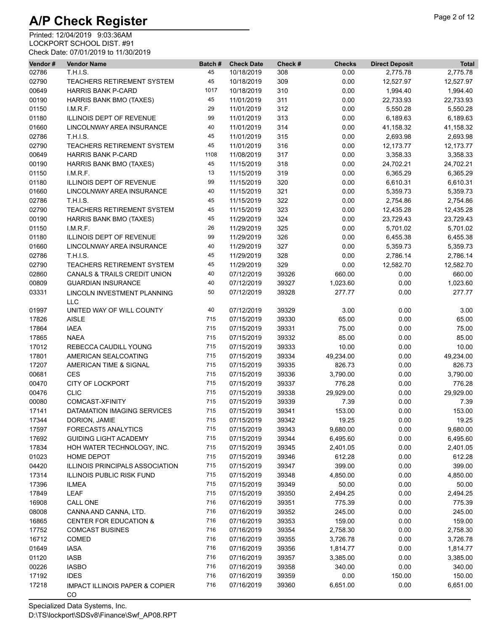| Vendor#        | <b>Vendor Name</b>                              | Batch# | <b>Check Date</b> | Check # | <b>Checks</b>     | <b>Direct Deposit</b> | <b>Total</b>         |
|----------------|-------------------------------------------------|--------|-------------------|---------|-------------------|-----------------------|----------------------|
| 02786          | <b>T.H.I.S.</b>                                 | 45     | 10/18/2019        | 308     | 0.00              | 2,775.78              | 2,775.78             |
| 02790          | TEACHERS RETIREMENT SYSTEM                      | 45     | 10/18/2019        | 309     | 0.00              | 12,527.97             | 12,527.97            |
| 00649          | <b>HARRIS BANK P-CARD</b>                       | 1017   | 10/18/2019        | 310     | 0.00              | 1,994.40              | 1,994.40             |
| 00190          | HARRIS BANK BMO (TAXES)                         | 45     | 11/01/2019        | 311     | 0.00              | 22,733.93             | 22,733.93            |
| 01150          | LM.R.F.                                         | 29     | 11/01/2019        | 312     | 0.00              | 5,550.28              | 5,550.28             |
| 01180          | ILLINOIS DEPT OF REVENUE                        | 99     | 11/01/2019        | 313     | 0.00              | 6,189.63              | 6,189.63             |
| 01660          | LINCOLNWAY AREA INSURANCE                       | 40     | 11/01/2019        | 314     | 0.00              | 41,158.32             | 41,158.32            |
| 02786          | <b>T.H.I.S.</b>                                 | 45     | 11/01/2019        | 315     | 0.00              | 2,693.98              | 2,693.98             |
| 02790          | <b>TEACHERS RETIREMENT SYSTEM</b>               | 45     | 11/01/2019        | 316     | 0.00              | 12,173.77             | 12,173.77            |
| 00649          | <b>HARRIS BANK P-CARD</b>                       | 1108   | 11/08/2019        | 317     | 0.00              | 3,358.33              | 3,358.33             |
| 00190          | HARRIS BANK BMO (TAXES)                         | 45     | 11/15/2019        | 318     | 0.00              | 24,702.21             | 24,702.21            |
| 01150          | I.M.R.F.                                        | 13     | 11/15/2019        | 319     | 0.00              | 6,365.29              | 6,365.29             |
| 01180          | ILLINOIS DEPT OF REVENUE                        | 99     | 11/15/2019        | 320     | 0.00              | 6,610.31              | 6,610.31             |
| 01660          | LINCOLNWAY AREA INSURANCE                       | 40     | 11/15/2019        | 321     | 0.00              | 5,359.73              | 5,359.73             |
| 02786          | <b>T.H.I.S.</b>                                 | 45     | 11/15/2019        | 322     | 0.00              | 2,754.86              | 2,754.86             |
| 02790          | TEACHERS RETIREMENT SYSTEM                      | 45     | 11/15/2019        | 323     | 0.00              | 12,435.28             | 12,435.28            |
| 00190          | HARRIS BANK BMO (TAXES)                         | 45     | 11/29/2019        | 324     | 0.00              | 23,729.43             | 23,729.43            |
| 01150          | I.M.R.F.                                        | 26     | 11/29/2019        | 325     | 0.00              | 5,701.02              | 5,701.02             |
| 01180          | ILLINOIS DEPT OF REVENUE                        | 99     | 11/29/2019        | 326     | 0.00              | 6,455.38              | 6,455.38             |
|                |                                                 | 40     |                   |         |                   |                       |                      |
| 01660          | LINCOLNWAY AREA INSURANCE                       |        | 11/29/2019        | 327     | 0.00              | 5,359.73              | 5,359.73             |
| 02786          | <b>T.H.I.S.</b>                                 | 45     | 11/29/2019        | 328     | 0.00              | 2,786.14              | 2,786.14             |
| 02790          | TEACHERS RETIREMENT SYSTEM                      | 45     | 11/29/2019        | 329     | 0.00              | 12,582.70             | 12,582.70            |
| 02860          | CANALS & TRAILS CREDIT UNION                    | 40     | 07/12/2019        | 39326   | 660.00            | 0.00                  | 660.00               |
| 00809          | <b>GUARDIAN INSURANCE</b>                       | 40     | 07/12/2019        | 39327   | 1,023.60          | 0.00                  | 1,023.60             |
| 03331          | LINCOLN INVESTMENT PLANNING<br><b>LLC</b>       | 50     | 07/12/2019        | 39328   | 277.77            | 0.00                  | 277.77               |
| 01997          | UNITED WAY OF WILL COUNTY                       | 40     | 07/12/2019        | 39329   | 3.00              | 0.00                  | 3.00                 |
| 17826          | <b>AISLE</b>                                    | 715    | 07/15/2019        | 39330   | 65.00             | 0.00                  | 65.00                |
| 17864          | <b>IAEA</b>                                     | 715    | 07/15/2019        | 39331   | 75.00             | 0.00                  | 75.00                |
| 17865          | <b>NAEA</b>                                     | 715    | 07/15/2019        | 39332   | 85.00             | 0.00                  | 85.00                |
| 17012          | REBECCA CAUDILL YOUNG                           | 715    | 07/15/2019        | 39333   | 10.00             | 0.00                  | 10.00                |
| 17801          | AMERICAN SEALCOATING                            | 715    | 07/15/2019        | 39334   | 49,234.00         | 0.00                  | 49,234.00            |
| 17207          | AMERICAN TIME & SIGNAL                          | 715    | 07/15/2019        | 39335   | 826.73            | 0.00                  | 826.73               |
| 00681          | <b>CES</b>                                      | 715    | 07/15/2019        | 39336   | 3,790.00          | 0.00                  | 3,790.00             |
| 00470          | <b>CITY OF LOCKPORT</b>                         | 715    | 07/15/2019        | 39337   | 776.28            | 0.00                  | 776.28               |
| 00476          | <b>CLIC</b>                                     | 715    | 07/15/2019        | 39338   | 29,929.00         | 0.00                  | 29,929.00            |
| 00080          | COMCAST-XFINITY                                 | 715    | 07/15/2019        | 39339   | 7.39              | 0.00                  | 7.39                 |
| 17141          | DATAMATION IMAGING SERVICES                     | 715    | 07/15/2019        | 39341   | 153.00            | 0.00                  | 153.00               |
|                |                                                 | 715    |                   |         |                   | 0.00                  | 19.25                |
| 17344<br>17597 | DORION, JAMIE<br>FORECAST5 ANALYTICS            | 715    | 07/15/2019        | 39342   | 19.25<br>9,680.00 | 0.00                  |                      |
|                |                                                 | 715    | 07/15/2019        | 39343   |                   |                       | 9,680.00             |
| 17692          | <b>GUIDING LIGHT ACADEMY</b>                    | 715    | 07/15/2019        | 39344   | 6,495.60          | 0.00                  | 6,495.60<br>2,401.05 |
| 17834          | HOH WATER TECHNOLOGY, INC.                      |        | 07/15/2019        | 39345   | 2,401.05          | 0.00                  |                      |
| 01023          | HOME DEPOT                                      | 715    | 07/15/2019        | 39346   | 612.28            | 0.00                  | 612.28               |
| 04420          | ILLINOIS PRINCIPALS ASSOCIATION                 | 715    | 07/15/2019        | 39347   | 399.00            | 0.00                  | 399.00               |
| 17314          | <b>ILLINOIS PUBLIC RISK FUND</b>                | 715    | 07/15/2019        | 39348   | 4,850.00          | 0.00                  | 4,850.00             |
| 17396          | <b>ILMEA</b>                                    | 715    | 07/15/2019        | 39349   | 50.00             | 0.00                  | 50.00                |
| 17849          | <b>LEAF</b>                                     | 715    | 07/15/2019        | 39350   | 2,494.25          | 0.00                  | 2,494.25             |
| 16908          | CALL ONE                                        | 716    | 07/16/2019        | 39351   | 775.39            | 0.00                  | 775.39               |
| 08008          | CANNA AND CANNA, LTD.                           | 716    | 07/16/2019        | 39352   | 245.00            | 0.00                  | 245.00               |
| 16865          | <b>CENTER FOR EDUCATION &amp;</b>               | 716    | 07/16/2019        | 39353   | 159.00            | 0.00                  | 159.00               |
| 17752          | <b>COMCAST BUSINES</b>                          | 716    | 07/16/2019        | 39354   | 2,758.30          | 0.00                  | 2,758.30             |
| 16712          | COMED                                           | 716    | 07/16/2019        | 39355   | 3,726.78          | 0.00                  | 3,726.78             |
| 01649          | <b>IASA</b>                                     | 716    | 07/16/2019        | 39356   | 1,814.77          | 0.00                  | 1,814.77             |
| 01120          | <b>IASB</b>                                     | 716    | 07/16/2019        | 39357   | 3,385.00          | 0.00                  | 3,385.00             |
| 00226          | <b>IASBO</b>                                    | 716    | 07/16/2019        | 39358   | 340.00            | 0.00                  | 340.00               |
| 17192          | <b>IDES</b>                                     | 716    | 07/16/2019        | 39359   | 0.00              | 150.00                | 150.00               |
| 17218          | <b>IMPACT ILLINOIS PAPER &amp; COPIER</b><br>CO | 716    | 07/16/2019        | 39360   | 6,651.00          | 0.00                  | 6,651.00             |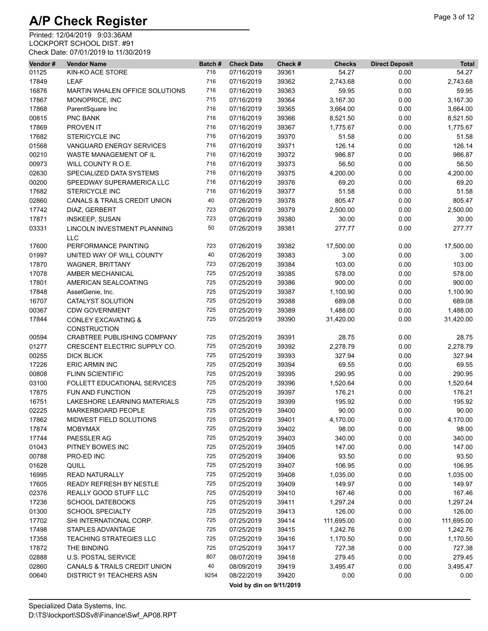| Vendor# | <b>Vendor Name</b>                                    | Batch# | <b>Check Date</b>        | Check # | <b>Checks</b> | <b>Direct Deposit</b> | <b>Total</b> |
|---------|-------------------------------------------------------|--------|--------------------------|---------|---------------|-----------------------|--------------|
| 01125   | KIN-KO ACE STORE                                      | 716    | 07/16/2019               | 39361   | 54.27         | 0.00                  | 54.27        |
| 17849   | <b>LEAF</b>                                           | 716    | 07/16/2019               | 39362   | 2,743.68      | 0.00                  | 2,743.68     |
| 16876   | MARTIN WHALEN OFFICE SOLUTIONS                        | 716    | 07/16/2019               | 39363   | 59.95         | 0.00                  | 59.95        |
| 17867   | MONOPRICE, INC                                        | 715    | 07/16/2019               | 39364   | 3,167.30      | 0.00                  | 3,167.30     |
| 17868   | ParentSquare Inc                                      | 716    | 07/16/2019               | 39365   | 3,664.00      | 0.00                  | 3,664.00     |
| 00815   | PNC BANK                                              | 716    | 07/16/2019               | 39366   | 8,521.50      | 0.00                  | 8,521.50     |
| 17869   | PROVEN IT                                             | 716    | 07/16/2019               | 39367   | 1,775.67      | 0.00                  | 1,775.67     |
| 17682   | <b>STERICYCLE INC</b>                                 | 716    | 07/16/2019               | 39370   | 51.58         | 0.00                  | 51.58        |
| 01568   | VANGUARD ENERGY SERVICES                              | 716    | 07/16/2019               | 39371   | 126.14        | 0.00                  | 126.14       |
| 00210   | WASTE MANAGEMENT OF IL                                | 716    | 07/16/2019               | 39372   | 986.87        | 0.00                  | 986.87       |
| 00973   | WILL COUNTY R.O.E.                                    | 716    | 07/16/2019               | 39373   | 56.50         | 0.00                  | 56.50        |
| 02630   | SPECIALIZED DATA SYSTEMS                              | 716    | 07/16/2019               | 39375   | 4,200.00      | 0.00                  | 4,200.00     |
| 00200   | SPEEDWAY SUPERAMERICA LLC                             | 716    | 07/16/2019               | 39376   | 69.20         | 0.00                  | 69.20        |
| 17682   | <b>STERICYCLE INC</b>                                 | 716    | 07/16/2019               | 39377   | 51.58         | 0.00                  | 51.58        |
| 02860   | CANALS & TRAILS CREDIT UNION                          | 40     | 07/26/2019               | 39378   | 805.47        | 0.00                  | 805.47       |
| 17742   | DIAZ, GERBERT                                         | 723    | 07/26/2019               | 39379   | 2,500.00      | 0.00                  | 2,500.00     |
| 17871   | <b>INSKEEP, SUSAN</b>                                 | 723    | 07/26/2019               | 39380   | 30.00         | 0.00                  | 30.00        |
| 03331   | LINCOLN INVESTMENT PLANNING<br><b>LLC</b>             | 50     | 07/26/2019               | 39381   | 277.77        | 0.00                  | 277.77       |
| 17600   | PERFORMANCE PAINTING                                  | 723    | 07/26/2019               | 39382   | 17,500.00     | 0.00                  | 17,500.00    |
| 01997   | UNITED WAY OF WILL COUNTY                             | 40     | 07/26/2019               | 39383   | 3.00          | 0.00                  | 3.00         |
| 17870   | <b>WAGNER, BRITTANY</b>                               | 723    | 07/26/2019               | 39384   | 103.00        | 0.00                  | 103.00       |
| 17078   | AMBER MECHANICAL                                      | 725    | 07/25/2019               | 39385   | 578.00        | 0.00                  | 578.00       |
| 17801   | AMERICAN SEALCOATING                                  | 725    | 07/25/2019               | 39386   | 900.00        | 0.00                  | 900.00       |
| 17848   | AssetGenie, Inc.                                      | 725    | 07/25/2019               | 39387   | 1,100.90      | 0.00                  | 1,100.90     |
| 16707   | CATALYST SOLUTION                                     | 725    | 07/25/2019               | 39388   | 689.08        | 0.00                  | 689.08       |
| 00367   | <b>CDW GOVERNMENT</b>                                 | 725    | 07/25/2019               | 39389   | 1,488.00      | 0.00                  | 1,488.00     |
| 17844   | <b>CONLEY EXCAVATING &amp;</b><br><b>CONSTRUCTION</b> | 725    | 07/25/2019               | 39390   | 31,420.00     | 0.00                  | 31,420.00    |
| 00594   | CRABTREE PUBLISHING COMPANY                           | 725    | 07/25/2019               | 39391   | 28.75         | 0.00                  | 28.75        |
| 01277   | CRESCENT ELECTRIC SUPPLY CO.                          | 725    | 07/25/2019               | 39392   | 2,278.79      | 0.00                  | 2,278.79     |
| 00255   | <b>DICK BLICK</b>                                     | 725    | 07/25/2019               | 39393   | 327.94        | 0.00                  | 327.94       |
| 17226   | <b>ERIC ARMIN INC</b>                                 | 725    | 07/25/2019               | 39394   | 69.55         | 0.00                  | 69.55        |
| 00808   | <b>FLINN SCIENTIFIC</b>                               | 725    | 07/25/2019               | 39395   | 290.95        | 0.00                  | 290.95       |
| 03100   | FOLLETT EDUCATIONAL SERVICES                          | 725    | 07/25/2019               | 39396   | 1,520.64      | 0.00                  | 1,520.64     |
| 17875   | <b>FUN AND FUNCTION</b>                               | 725    | 07/25/2019               | 39397   | 176.21        | 0.00                  | 176.21       |
| 16751   | <b>LAKESHORE LEARNING MATERIALS</b>                   | 725    | 07/25/2019               | 39399   | 195.92        | 0.00                  | 195.92       |
| 02225   | <b>MARKERBOARD PEOPLE</b>                             | 725    | 07/25/2019               | 39400   | 90.00         | 0.00                  | 90.00        |
| 17862   | MIDWEST FIELD SOLUTIONS                               | 725    | 07/25/2019               | 39401   | 4,170.00      | 0.00                  | 4,170.00     |
| 17874   | <b>MOBYMAX</b>                                        | 725    | 07/25/2019               | 39402   | 98.00         | 0.00                  | 98.00        |
| 17744   | PAESSLER AG                                           | 725    | 07/25/2019               | 39403   | 340.00        | 0.00                  | 340.00       |
| 01043   | PITNEY BOWES INC                                      | 725    | 07/25/2019               | 39405   | 147.00        | 0.00                  | 147.00       |
| 00788   | PRO-ED INC                                            | 725    | 07/25/2019               | 39406   | 93.50         | 0.00                  | 93.50        |
| 01628   | QUILL                                                 | 725    | 07/25/2019               | 39407   | 106.95        | 0.00                  | 106.95       |
| 16995   | <b>READ NATURALLY</b>                                 | 725    | 07/25/2019               | 39408   | 1,035.00      | 0.00                  | 1,035.00     |
| 17605   | READY REFRESH BY NESTLE                               | 725    | 07/25/2019               | 39409   | 149.97        | 0.00                  | 149.97       |
| 02376   | REALLY GOOD STUFF LLC                                 | 725    | 07/25/2019               | 39410   | 167.46        | 0.00                  | 167.46       |
| 17236   | <b>SCHOOL DATEBOOKS</b>                               | 725    | 07/25/2019               | 39411   | 1,297.24      | 0.00                  | 1,297.24     |
| 01300   | <b>SCHOOL SPECIALTY</b>                               | 725    | 07/25/2019               | 39413   | 126.00        | 0.00                  | 126.00       |
| 17702   | SHI INTERNATIONAL CORP.                               | 725    | 07/25/2019               | 39414   | 111,695.00    | 0.00                  | 111,695.00   |
| 17498   | STAPLES ADVANTAGE                                     | 725    | 07/25/2019               | 39415   | 1,242.76      | 0.00                  | 1,242.76     |
| 17358   | <b>TEACHING STRATEGIES LLC</b>                        | 725    | 07/25/2019               | 39416   | 1,170.50      | 0.00                  | 1,170.50     |
| 17872   | THE BINDING                                           | 725    | 07/25/2019               | 39417   | 727.38        | 0.00                  | 727.38       |
| 02888   | <b>U.S. POSTAL SERVICE</b>                            | 807    | 08/07/2019               | 39418   | 279.45        | 0.00                  | 279.45       |
| 02860   | CANALS & TRAILS CREDIT UNION                          | 40     | 08/09/2019               | 39419   | 3,495.47      | 0.00                  | 3,495.47     |
| 00640   | <b>DISTRICT 91 TEACHERS ASN</b>                       | 9254   | 08/22/2019               | 39420   | 0.00          | 0.00                  | 0.00         |
|         |                                                       |        | Void by din on 9/11/2019 |         |               |                       |              |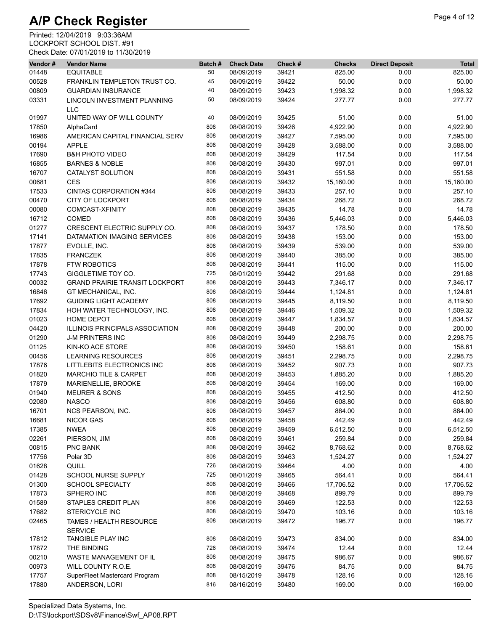| Vendor# | <b>Vendor Name</b>                        | Batch# | <b>Check Date</b> | Check # | <b>Checks</b> | <b>Direct Deposit</b> | <b>Total</b> |
|---------|-------------------------------------------|--------|-------------------|---------|---------------|-----------------------|--------------|
| 01448   | <b>EQUITABLE</b>                          | 50     | 08/09/2019        | 39421   | 825.00        | 0.00                  | 825.00       |
| 00528   | FRANKLIN TEMPLETON TRUST CO.              | 45     | 08/09/2019        | 39422   | 50.00         | 0.00                  | 50.00        |
| 00809   | <b>GUARDIAN INSURANCE</b>                 | 40     | 08/09/2019        | 39423   | 1,998.32      | 0.00                  | 1,998.32     |
| 03331   | LINCOLN INVESTMENT PLANNING<br><b>LLC</b> | 50     | 08/09/2019        | 39424   | 277.77        | 0.00                  | 277.77       |
| 01997   | UNITED WAY OF WILL COUNTY                 | 40     | 08/09/2019        | 39425   | 51.00         | 0.00                  | 51.00        |
| 17850   | AlphaCard                                 | 808    | 08/08/2019        | 39426   | 4,922.90      | 0.00                  | 4,922.90     |
| 16986   | AMERICAN CAPITAL FINANCIAL SERV           | 808    | 08/08/2019        | 39427   | 7,595.00      | 0.00                  | 7,595.00     |
| 00194   | <b>APPLE</b>                              | 808    | 08/08/2019        | 39428   | 3,588.00      | 0.00                  | 3,588.00     |
| 17690   | <b>B&amp;H PHOTO VIDEO</b>                | 808    | 08/08/2019        | 39429   | 117.54        | 0.00                  | 117.54       |
| 16855   | <b>BARNES &amp; NOBLE</b>                 | 808    | 08/08/2019        | 39430   | 997.01        | 0.00                  | 997.01       |
| 16707   | CATALYST SOLUTION                         | 808    | 08/08/2019        | 39431   | 551.58        | 0.00                  | 551.58       |
| 00681   | <b>CES</b>                                | 808    | 08/08/2019        | 39432   | 15,160.00     | 0.00                  | 15,160.00    |
| 17533   | CINTAS CORPORATION #344                   | 808    | 08/08/2019        | 39433   | 257.10        | 0.00                  | 257.10       |
| 00470   | <b>CITY OF LOCKPORT</b>                   | 808    | 08/08/2019        | 39434   | 268.72        | 0.00                  | 268.72       |
| 00080   | COMCAST-XFINITY                           | 808    | 08/08/2019        | 39435   | 14.78         | 0.00                  | 14.78        |
| 16712   | COMED                                     | 808    | 08/08/2019        | 39436   | 5,446.03      | 0.00                  | 5,446.03     |
| 01277   | CRESCENT ELECTRIC SUPPLY CO.              | 808    | 08/08/2019        | 39437   | 178.50        | 0.00                  | 178.50       |
| 17141   | DATAMATION IMAGING SERVICES               | 808    | 08/08/2019        | 39438   | 153.00        | 0.00                  | 153.00       |
| 17877   | EVOLLE, INC.                              | 808    | 08/08/2019        | 39439   | 539.00        | 0.00                  | 539.00       |
| 17835   | <b>FRANCZEK</b>                           | 808    | 08/08/2019        | 39440   | 385.00        | 0.00                  | 385.00       |
| 17878   | <b>FTW ROBOTICS</b>                       | 808    | 08/08/2019        | 39441   | 115.00        | 0.00                  | 115.00       |
| 17743   | GIGGLETIME TOY CO.                        | 725    | 08/01/2019        | 39442   | 291.68        | 0.00                  | 291.68       |
| 00032   | <b>GRAND PRAIRIE TRANSIT LOCKPORT</b>     | 808    | 08/08/2019        | 39443   | 7,346.17      | 0.00                  | 7,346.17     |
|         |                                           | 808    |                   | 39444   |               |                       |              |
| 16846   | GT MECHANICAL, INC.                       |        | 08/08/2019        |         | 1,124.81      | 0.00                  | 1,124.81     |
| 17692   | <b>GUIDING LIGHT ACADEMY</b>              | 808    | 08/08/2019        | 39445   | 8,119.50      | 0.00                  | 8,119.50     |
| 17834   | HOH WATER TECHNOLOGY, INC.                | 808    | 08/08/2019        | 39446   | 1,509.32      | 0.00                  | 1,509.32     |
| 01023   | <b>HOME DEPOT</b>                         | 808    | 08/08/2019        | 39447   | 1,834.57      | 0.00                  | 1,834.57     |
| 04420   | ILLINOIS PRINCIPALS ASSOCIATION           | 808    | 08/08/2019        | 39448   | 200.00        | 0.00                  | 200.00       |
| 01290   | <b>J-M PRINTERS INC</b>                   | 808    | 08/08/2019        | 39449   | 2,298.75      | 0.00                  | 2,298.75     |
| 01125   | KIN-KO ACE STORE                          | 808    | 08/08/2019        | 39450   | 158.61        | 0.00                  | 158.61       |
| 00456   | <b>LEARNING RESOURCES</b>                 | 808    | 08/08/2019        | 39451   | 2,298.75      | 0.00                  | 2,298.75     |
| 17876   | LITTLEBITS ELECTRONICS INC                | 808    | 08/08/2019        | 39452   | 907.73        | 0.00                  | 907.73       |
| 01820   | <b>MARCHIO TILE &amp; CARPET</b>          | 808    | 08/08/2019        | 39453   | 1,885.20      | 0.00                  | 1,885.20     |
| 17879   | MARIENELLIE, BROOKE                       | 808    | 08/08/2019        | 39454   | 169.00        | 0.00                  | 169.00       |
| 01940   | <b>MEURER &amp; SONS</b>                  | 808    | 08/08/2019        | 39455   | 412.50        | 0.00                  | 412.50       |
| 02080   | <b>NASCO</b>                              | 808    | 08/08/2019        | 39456   | 608.80        | 0.00                  | 608.80       |
| 16701   | NCS PEARSON, INC.                         | 808    | 08/08/2019        | 39457   | 884.00        | 0.00                  | 884.00       |
| 16681   | <b>NICOR GAS</b>                          | 808    | 08/08/2019        | 39458   | 442.49        | 0.00                  | 442.49       |
| 17385   | <b>NWEA</b>                               | 808    | 08/08/2019        | 39459   | 6,512.50      | 0.00                  | 6,512.50     |
| 02261   | PIERSON, JIM                              | 808    | 08/08/2019        | 39461   | 259.84        | 0.00                  | 259.84       |
| 00815   | PNC BANK                                  | 808    | 08/08/2019        | 39462   | 8,768.62      | 0.00                  | 8,768.62     |
| 17756   | Polar 3D                                  | 808    | 08/08/2019        | 39463   | 1,524.27      | 0.00                  | 1,524.27     |
| 01628   | QUILL                                     | 726    | 08/08/2019        | 39464   | 4.00          | 0.00                  | 4.00         |
| 01428   | SCHOOL NURSE SUPPLY                       | 725    | 08/01/2019        | 39465   | 564.41        | 0.00                  | 564.41       |
| 01300   | <b>SCHOOL SPECIALTY</b>                   | 808    | 08/08/2019        | 39466   | 17,706.52     | 0.00                  | 17,706.52    |
| 17873   | SPHERO INC                                | 808    | 08/08/2019        | 39468   | 899.79        | 0.00                  | 899.79       |
| 01589   | STAPLES CREDIT PLAN                       | 808    | 08/08/2019        | 39469   | 122.53        | 0.00                  | 122.53       |
| 17682   | <b>STERICYCLE INC</b>                     | 808    | 08/08/2019        | 39470   | 103.16        | 0.00                  | 103.16       |
| 02465   | TAMES / HEALTH RESOURCE<br><b>SERVICE</b> | 808    | 08/08/2019        | 39472   | 196.77        | 0.00                  | 196.77       |
| 17812   | TANGIBLE PLAY INC                         | 808    | 08/08/2019        | 39473   | 834.00        | 0.00                  | 834.00       |
| 17872   | THE BINDING                               | 726    | 08/08/2019        | 39474   | 12.44         | 0.00                  | 12.44        |
| 00210   | WASTE MANAGEMENT OF IL                    | 808    | 08/08/2019        | 39475   | 986.67        | 0.00                  | 986.67       |
| 00973   | WILL COUNTY R.O.E.                        | 808    | 08/08/2019        | 39476   | 84.75         | 0.00                  | 84.75        |
| 17757   | SuperFleet Mastercard Program             | 808    | 08/15/2019        | 39478   | 128.16        | 0.00                  | 128.16       |
| 17880   | ANDERSON, LORI                            | 816    | 08/16/2019        | 39480   | 169.00        | 0.00                  | 169.00       |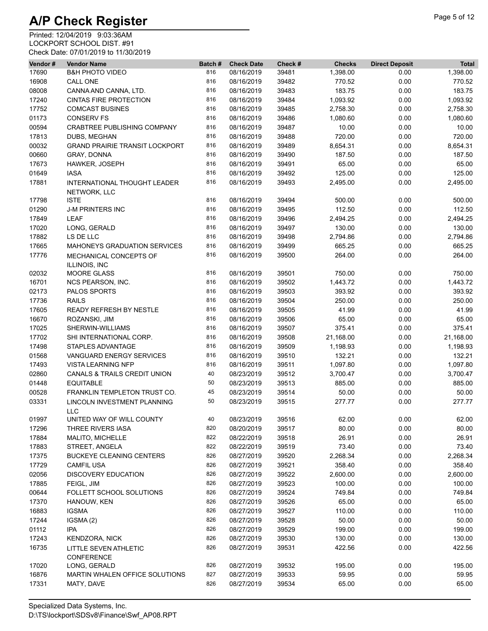| Vendor# | <b>Vendor Name</b>                           | Batch# | <b>Check Date</b> | Check # | <b>Checks</b> | <b>Direct Deposit</b> | <b>Total</b>    |
|---------|----------------------------------------------|--------|-------------------|---------|---------------|-----------------------|-----------------|
| 17690   | <b>B&amp;H PHOTO VIDEO</b>                   | 816    | 08/16/2019        | 39481   | 1,398.00      | 0.00                  | 1,398.00        |
| 16908   | <b>CALL ONE</b>                              | 816    | 08/16/2019        | 39482   | 770.52        | 0.00                  | 770.52          |
| 08008   | CANNA AND CANNA, LTD.                        | 816    | 08/16/2019        | 39483   | 183.75        | 0.00                  | 183.75          |
| 17240   | <b>CINTAS FIRE PROTECTION</b>                | 816    | 08/16/2019        | 39484   | 1,093.92      | 0.00                  | 1,093.92        |
| 17752   | <b>COMCAST BUSINES</b>                       | 816    | 08/16/2019        | 39485   | 2,758.30      | 0.00                  | 2,758.30        |
| 01173   | <b>CONSERV FS</b>                            | 816    | 08/16/2019        | 39486   | 1,080.60      | 0.00                  | 1,080.60        |
| 00594   | <b>CRABTREE PUBLISHING COMPANY</b>           | 816    | 08/16/2019        | 39487   | 10.00         | 0.00                  | 10.00           |
| 17813   | DUBS, MEGHAN                                 | 816    | 08/16/2019        | 39488   | 720.00        | 0.00                  | 720.00          |
| 00032   | <b>GRAND PRAIRIE TRANSIT LOCKPORT</b>        | 816    | 08/16/2019        | 39489   | 8,654.31      | 0.00                  | 8,654.31        |
| 00660   | GRAY, DONNA                                  | 816    | 08/16/2019        | 39490   | 187.50        | 0.00                  | 187.50          |
| 17673   | HAWKER, JOSEPH                               | 816    | 08/16/2019        | 39491   | 65.00         | 0.00                  | 65.00           |
| 01649   | <b>IASA</b>                                  | 816    | 08/16/2019        | 39492   | 125.00        | 0.00                  | 125.00          |
| 17881   | INTERNATIONAL THOUGHT LEADER<br>NETWORK, LLC | 816    | 08/16/2019        | 39493   | 2,495.00      | 0.00                  | 2,495.00        |
| 17798   | <b>ISTE</b>                                  | 816    | 08/16/2019        | 39494   | 500.00        | 0.00                  | 500.00          |
| 01290   | <b>J-M PRINTERS INC</b>                      | 816    | 08/16/2019        | 39495   | 112.50        | 0.00                  | 112.50          |
| 17849   | <b>LEAF</b>                                  | 816    | 08/16/2019        | 39496   | 2,494.25      | 0.00                  | 2,494.25        |
| 17020   | LONG, GERALD                                 | 816    | 08/16/2019        | 39497   | 130.00        | 0.00                  | 130.00          |
| 17882   | LS DE LLC                                    | 816    | 08/16/2019        | 39498   | 2,794.86      | 0.00                  | 2,794.86        |
| 17665   | MAHONEYS GRADUATION SERVICES                 | 816    | 08/16/2019        | 39499   | 665.25        | 0.00                  | 665.25          |
| 17776   | MECHANICAL CONCEPTS OF<br>ILLINOIS, INC      | 816    | 08/16/2019        | 39500   | 264.00        | 0.00                  | 264.00          |
| 02032   | <b>MOORE GLASS</b>                           | 816    | 08/16/2019        | 39501   | 750.00        | 0.00                  | 750.00          |
| 16701   | <b>NCS PEARSON, INC.</b>                     | 816    | 08/16/2019        | 39502   | 1,443.72      | 0.00                  | 1,443.72        |
| 02173   | PALOS SPORTS                                 | 816    | 08/16/2019        | 39503   | 393.92        | 0.00                  | 393.92          |
| 17736   | <b>RAILS</b>                                 | 816    | 08/16/2019        | 39504   | 250.00        | 0.00                  | 250.00          |
| 17605   | READY REFRESH BY NESTLE                      | 816    | 08/16/2019        | 39505   | 41.99         | 0.00                  | 41.99           |
| 16670   | ROZANSKI, JIM                                | 816    | 08/16/2019        | 39506   | 65.00         | 0.00                  | 65.00           |
| 17025   | SHERWIN-WILLIAMS                             | 816    | 08/16/2019        | 39507   | 375.41        | 0.00                  | 375.41          |
| 17702   | SHI INTERNATIONAL CORP.                      | 816    | 08/16/2019        | 39508   | 21,168.00     | 0.00                  | 21,168.00       |
| 17498   | STAPLES ADVANTAGE                            | 816    | 08/16/2019        | 39509   | 1,198.93      | 0.00                  | 1,198.93        |
| 01568   | VANGUARD ENERGY SERVICES                     | 816    | 08/16/2019        | 39510   | 132.21        | 0.00                  | 132.21          |
| 17493   | <b>VISTA LEARNING NFP</b>                    | 816    | 08/16/2019        | 39511   | 1,097.80      | 0.00                  | 1,097.80        |
| 02860   | CANALS & TRAILS CREDIT UNION                 | 40     | 08/23/2019        | 39512   | 3,700.47      | 0.00                  | 3,700.47        |
| 01448   | <b>EQUITABLE</b>                             | 50     | 08/23/2019        | 39513   | 885.00        | 0.00                  | 885.00          |
| 00528   | FRANKLIN TEMPLETON TRUST CO.                 | 45     | 08/23/2019        | 39514   | 50.00         | 0.00                  | 50.00           |
| 03331   | LINCOLN INVESTMENT PLANNING<br><b>LLC</b>    | 50     | 08/23/2019        | 39515   | 277.77        | 0.00                  | 277.77          |
| 01997   | UNITED WAY OF WILL COUNTY                    | 40     | 08/23/2019        | 39516   | 62.00         | 0.00                  | 62.00           |
| 17296   | THREE RIVERS IASA                            | 820    | 08/20/2019        | 39517   | 80.00         | 0.00                  | 80.00           |
| 17884   | MALITO, MICHELLE                             | 822    | 08/22/2019        | 39518   | 26.91         | 0.00                  | 26.91           |
| 17883   | STREET, ANGELA                               | 822    | 08/22/2019        | 39519   | 73.40         | 0.00                  | 73.40           |
| 17375   | <b>BUCKEYE CLEANING CENTERS</b>              | 826    | 08/27/2019        | 39520   | 2,268.34      | 0.00                  | 2,268.34        |
| 17729   | <b>CAMFIL USA</b>                            | 826    | 08/27/2019        | 39521   | 358.40        | 0.00                  | 358.40          |
| 02056   | <b>DISCOVERY EDUCATION</b>                   | 826    | 08/27/2019        | 39522   | 2,600.00      | 0.00                  | 2,600.00        |
| 17885   |                                              | 826    | 08/27/2019        | 39523   | 100.00        | 0.00                  | 100.00          |
|         | FEIGL, JIM<br>FOLLETT SCHOOL SOLUTIONS       | 826    |                   |         |               |                       | 749.84          |
| 00644   |                                              |        | 08/27/2019        | 39524   | 749.84        | 0.00                  |                 |
| 17370   | HANOUW, KEN                                  | 826    | 08/27/2019        | 39526   | 65.00         | 0.00                  | 65.00<br>110.00 |
| 16883   | <b>IGSMA</b>                                 | 826    | 08/27/2019        | 39527   | 110.00        | 0.00                  |                 |
| 17244   | IGSMA(2)                                     | 826    | 08/27/2019        | 39528   | 50.00         | 0.00                  | 50.00           |
| 01112   | ipa                                          | 826    | 08/27/2019        | 39529   | 199.00        | 0.00                  | 199.00          |
| 17243   | KENDZORA, NICK                               | 826    | 08/27/2019        | 39530   | 130.00        | 0.00                  | 130.00          |
| 16735   | LITTLE SEVEN ATHLETIC<br><b>CONFERENCE</b>   | 826    | 08/27/2019        | 39531   | 422.56        | 0.00                  | 422.56          |
| 17020   | LONG, GERALD                                 | 826    | 08/27/2019        | 39532   | 195.00        | 0.00                  | 195.00          |
| 16876   | MARTIN WHALEN OFFICE SOLUTIONS               | 827    | 08/27/2019        | 39533   | 59.95         | 0.00                  | 59.95           |
| 17331   | MATY, DAVE                                   | 826    | 08/27/2019        | 39534   | 65.00         | 0.00                  | 65.00           |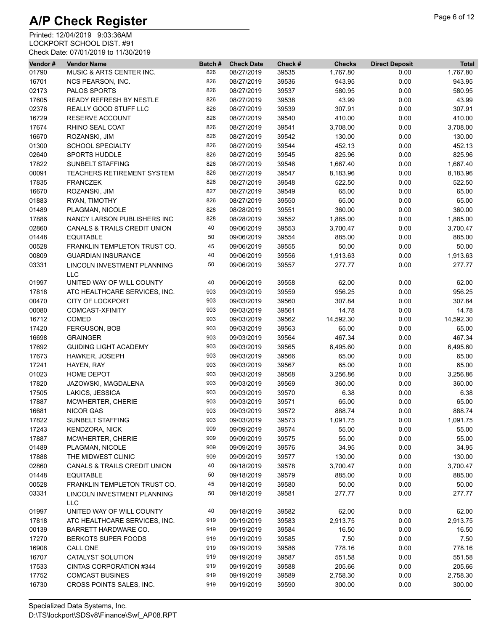| Vendor# | <b>Vendor Name</b>                        | Batch# | <b>Check Date</b> | Check # | <b>Checks</b>      | <b>Direct Deposit</b> | <b>Total</b>       |
|---------|-------------------------------------------|--------|-------------------|---------|--------------------|-----------------------|--------------------|
| 01790   | MUSIC & ARTS CENTER INC.                  | 826    | 08/27/2019        | 39535   | 1,767.80           | 0.00                  | 1,767.80           |
| 16701   | NCS PEARSON, INC.                         | 826    | 08/27/2019        | 39536   | 943.95             | 0.00                  | 943.95             |
| 02173   | PALOS SPORTS                              | 826    | 08/27/2019        | 39537   | 580.95             | 0.00                  | 580.95             |
| 17605   | READY REFRESH BY NESTLE                   | 826    | 08/27/2019        | 39538   | 43.99              | 0.00                  | 43.99              |
| 02376   | REALLY GOOD STUFF LLC                     | 826    | 08/27/2019        | 39539   | 307.91             | 0.00                  | 307.91             |
| 16729   | RESERVE ACCOUNT                           | 826    | 08/27/2019        | 39540   | 410.00             | 0.00                  | 410.00             |
| 17674   | RHINO SEAL COAT                           | 826    | 08/27/2019        | 39541   | 3,708.00           | 0.00                  | 3,708.00           |
| 16670   | ROZANSKI, JIM                             | 826    | 08/27/2019        | 39542   | 130.00             | 0.00                  | 130.00             |
| 01300   | <b>SCHOOL SPECIALTY</b>                   | 826    | 08/27/2019        | 39544   | 452.13             | 0.00                  | 452.13             |
| 02640   | <b>SPORTS HUDDLE</b>                      | 826    | 08/27/2019        | 39545   | 825.96             | 0.00                  | 825.96             |
| 17822   | <b>SUNBELT STAFFING</b>                   | 826    | 08/27/2019        | 39546   | 1,667.40           | 0.00                  | 1,667.40           |
| 00091   | TEACHERS RETIREMENT SYSTEM                | 826    | 08/27/2019        | 39547   | 8,183.96           | 0.00                  | 8,183.96           |
| 17835   | <b>FRANCZEK</b>                           | 826    | 08/27/2019        | 39548   | 522.50             | 0.00                  | 522.50             |
| 16670   | ROZANSKI, JIM                             | 827    | 08/27/2019        | 39549   | 65.00              | 0.00                  | 65.00              |
| 01883   | RYAN, TIMOTHY                             | 826    | 08/27/2019        | 39550   | 65.00              | 0.00                  | 65.00              |
| 01489   | PLAGMAN, NICOLE                           | 828    | 08/28/2019        | 39551   | 360.00             | 0.00                  | 360.00             |
| 17886   | NANCY LARSON PUBLISHERS INC               | 828    | 08/28/2019        | 39552   | 1,885.00           | 0.00                  | 1,885.00           |
| 02860   | CANALS & TRAILS CREDIT UNION              | 40     | 09/06/2019        | 39553   | 3,700.47           | 0.00                  | 3,700.47           |
| 01448   | <b>EQUITABLE</b>                          | 50     | 09/06/2019        | 39554   | 885.00             | 0.00                  | 885.00             |
| 00528   | FRANKLIN TEMPLETON TRUST CO.              | 45     | 09/06/2019        | 39555   | 50.00              | 0.00                  | 50.00              |
|         |                                           | 40     | 09/06/2019        |         |                    |                       |                    |
| 00809   | <b>GUARDIAN INSURANCE</b>                 | 50     | 09/06/2019        | 39556   | 1,913.63<br>277.77 | 0.00<br>0.00          | 1,913.63<br>277.77 |
| 03331   | LINCOLN INVESTMENT PLANNING               |        |                   | 39557   |                    |                       |                    |
|         | <b>LLC</b><br>UNITED WAY OF WILL COUNTY   | 40     |                   |         | 62.00              |                       | 62.00              |
| 01997   |                                           |        | 09/06/2019        | 39558   |                    | 0.00                  |                    |
| 17818   | ATC HEALTHCARE SERVICES, INC.             | 903    | 09/03/2019        | 39559   | 956.25             | 0.00                  | 956.25             |
| 00470   | <b>CITY OF LOCKPORT</b>                   | 903    | 09/03/2019        | 39560   | 307.84             | 0.00                  | 307.84             |
| 00080   | COMCAST-XFINITY                           | 903    | 09/03/2019        | 39561   | 14.78              | 0.00                  | 14.78              |
| 16712   | <b>COMED</b>                              | 903    | 09/03/2019        | 39562   | 14,592.30          | 0.00                  | 14,592.30          |
| 17420   | FERGUSON, BOB                             | 903    | 09/03/2019        | 39563   | 65.00              | 0.00                  | 65.00              |
| 16698   | <b>GRAINGER</b>                           | 903    | 09/03/2019        | 39564   | 467.34             | 0.00                  | 467.34             |
| 17692   | <b>GUIDING LIGHT ACADEMY</b>              | 903    | 09/03/2019        | 39565   | 6,495.60           | 0.00                  | 6,495.60           |
| 17673   | HAWKER, JOSEPH                            | 903    | 09/03/2019        | 39566   | 65.00              | 0.00                  | 65.00              |
| 17241   | HAYEN, RAY                                | 903    | 09/03/2019        | 39567   | 65.00              | 0.00                  | 65.00              |
| 01023   | <b>HOME DEPOT</b>                         | 903    | 09/03/2019        | 39568   | 3,256.86           | 0.00                  | 3,256.86           |
| 17820   | JAZOWSKI, MAGDALENA                       | 903    | 09/03/2019        | 39569   | 360.00             | 0.00                  | 360.00             |
| 17505   | LAKICS, JESSICA                           | 903    | 09/03/2019        | 39570   | 6.38               | 0.00                  | 6.38               |
| 17887   | MCWHERTER, CHERIE                         | 903    | 09/03/2019        | 39571   | 65.00              | 0.00                  | 65.00              |
| 16681   | <b>NICOR GAS</b>                          | 903    | 09/03/2019        | 39572   | 888.74             | 0.00                  | 888.74             |
| 17822   | SUNBELT STAFFING                          | 903    | 09/03/2019        | 39573   | 1,091.75           | 0.00                  | 1,091.75           |
| 17243   | <b>KENDZORA, NICK</b>                     | 909    | 09/09/2019        | 39574   | 55.00              | 0.00                  | 55.00              |
| 17887   | MCWHERTER, CHERIE                         | 909    | 09/09/2019        | 39575   | 55.00              | 0.00                  | 55.00              |
| 01489   | PLAGMAN, NICOLE                           | 909    | 09/09/2019        | 39576   | 34.95              | 0.00                  | 34.95              |
| 17888   | THE MIDWEST CLINIC                        | 909    | 09/09/2019        | 39577   | 130.00             | 0.00                  | 130.00             |
| 02860   | <b>CANALS &amp; TRAILS CREDIT UNION</b>   | 40     | 09/18/2019        | 39578   | 3,700.47           | 0.00                  | 3,700.47           |
| 01448   | <b>EQUITABLE</b>                          | 50     | 09/18/2019        | 39579   | 885.00             | 0.00                  | 885.00             |
| 00528   | FRANKLIN TEMPLETON TRUST CO.              | 45     | 09/18/2019        | 39580   | 50.00              | 0.00                  | 50.00              |
| 03331   | LINCOLN INVESTMENT PLANNING<br><b>LLC</b> | 50     | 09/18/2019        | 39581   | 277.77             | 0.00                  | 277.77             |
| 01997   | UNITED WAY OF WILL COUNTY                 | 40     | 09/18/2019        | 39582   | 62.00              | 0.00                  | 62.00              |
| 17818   | ATC HEALTHCARE SERVICES, INC.             | 919    | 09/19/2019        | 39583   | 2,913.75           | 0.00                  | 2,913.75           |
| 00139   | BARRETT HARDWARE CO.                      | 919    | 09/19/2019        | 39584   | 16.50              | 0.00                  | 16.50              |
| 17270   | BERKOTS SUPER FOODS                       | 919    | 09/19/2019        | 39585   | 7.50               | 0.00                  | 7.50               |
| 16908   | CALL ONE                                  | 919    | 09/19/2019        | 39586   | 778.16             | 0.00                  | 778.16             |
| 16707   | CATALYST SOLUTION                         | 919    | 09/19/2019        | 39587   | 551.58             | 0.00                  | 551.58             |
| 17533   | CINTAS CORPORATION #344                   | 919    | 09/19/2019        | 39588   | 205.66             | 0.00                  | 205.66             |
| 17752   | <b>COMCAST BUSINES</b>                    | 919    | 09/19/2019        | 39589   | 2,758.30           | 0.00                  | 2,758.30           |
| 16730   | CROSS POINTS SALES, INC.                  | 919    |                   | 39590   | 300.00             | 0.00                  | 300.00             |
|         |                                           |        | 09/19/2019        |         |                    |                       |                    |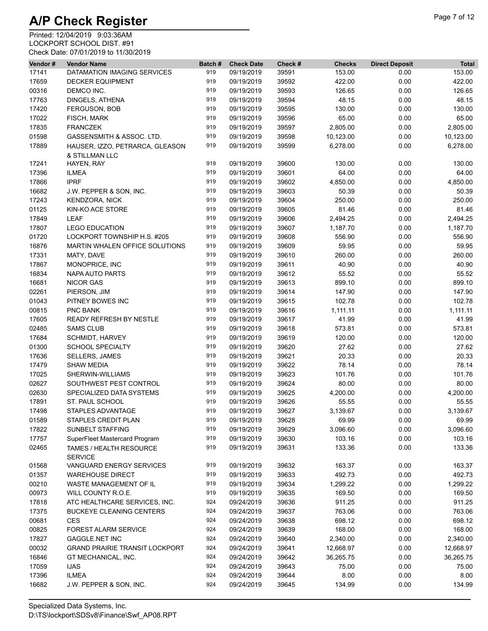| Vendor# | <b>Vendor Name</b>                                | Batch# | <b>Check Date</b> | Check # | <b>Checks</b> | <b>Direct Deposit</b> | <b>Total</b> |
|---------|---------------------------------------------------|--------|-------------------|---------|---------------|-----------------------|--------------|
| 17141   | DATAMATION IMAGING SERVICES                       | 919    | 09/19/2019        | 39591   | 153.00        | 0.00                  | 153.00       |
| 17659   | <b>DECKER EQUIPMENT</b>                           | 919    | 09/19/2019        | 39592   | 422.00        | 0.00                  | 422.00       |
| 00316   | DEMCO INC.                                        | 919    | 09/19/2019        | 39593   | 126.65        | 0.00                  | 126.65       |
| 17763   | DINGELS, ATHENA                                   | 919    | 09/19/2019        | 39594   | 48.15         | 0.00                  | 48.15        |
| 17420   | FERGUSON, BOB                                     | 919    | 09/19/2019        | 39595   | 130.00        | 0.00                  | 130.00       |
| 17022   | FISCH, MARK                                       | 919    | 09/19/2019        | 39596   | 65.00         | 0.00                  | 65.00        |
| 17835   | <b>FRANCZEK</b>                                   | 919    | 09/19/2019        | 39597   | 2,805.00      | 0.00                  | 2,805.00     |
| 01598   | GASSENSMITH & ASSOC. LTD.                         | 919    | 09/19/2019        | 39598   | 10,123.00     | 0.00                  | 10,123.00    |
| 17889   | HAUSER, IZZO, PETRARCA, GLEASON<br>& STILLMAN LLC | 919    | 09/19/2019        | 39599   | 6,278.00      | 0.00                  | 6,278.00     |
| 17241   | HAYEN, RAY                                        | 919    | 09/19/2019        | 39600   | 130.00        | 0.00                  | 130.00       |
| 17396   | <b>ILMEA</b>                                      | 919    | 09/19/2019        | 39601   | 64.00         | 0.00                  | 64.00        |
| 17866   | <b>IPRF</b>                                       | 919    | 09/19/2019        | 39602   | 4,850.00      | 0.00                  | 4,850.00     |
| 16682   | J.W. PEPPER & SON, INC.                           | 919    | 09/19/2019        | 39603   | 50.39         | 0.00                  | 50.39        |
| 17243   | KENDZORA, NICK                                    | 919    | 09/19/2019        | 39604   | 250.00        | 0.00                  | 250.00       |
| 01125   | KIN-KO ACE STORE                                  | 919    | 09/19/2019        | 39605   | 81.46         | 0.00                  | 81.46        |
| 17849   | LEAF                                              | 919    | 09/19/2019        | 39606   | 2,494.25      | 0.00                  | 2,494.25     |
| 17807   | <b>LEGO EDUCATION</b>                             | 919    | 09/19/2019        | 39607   | 1,187.70      | 0.00                  | 1,187.70     |
|         |                                                   | 919    |                   |         | 556.90        |                       |              |
| 01720   | LOCKPORT TOWNSHIP H.S. #205                       |        | 09/19/2019        | 39608   |               | 0.00                  | 556.90       |
| 16876   | MARTIN WHALEN OFFICE SOLUTIONS                    | 919    | 09/19/2019        | 39609   | 59.95         | 0.00                  | 59.95        |
| 17331   | MATY, DAVE                                        | 919    | 09/19/2019        | 39610   | 260.00        | 0.00                  | 260.00       |
| 17867   | MONOPRICE, INC                                    | 919    | 09/19/2019        | 39611   | 40.90         | 0.00                  | 40.90        |
| 16834   | NAPA AUTO PARTS                                   | 919    | 09/19/2019        | 39612   | 55.52         | 0.00                  | 55.52        |
| 16681   | <b>NICOR GAS</b>                                  | 919    | 09/19/2019        | 39613   | 899.10        | 0.00                  | 899.10       |
| 02261   | PIERSON, JIM                                      | 919    | 09/19/2019        | 39614   | 147.90        | 0.00                  | 147.90       |
| 01043   | PITNEY BOWES INC                                  | 919    | 09/19/2019        | 39615   | 102.78        | 0.00                  | 102.78       |
| 00815   | <b>PNC BANK</b>                                   | 919    | 09/19/2019        | 39616   | 1,111.11      | 0.00                  | 1,111.11     |
| 17605   | READY REFRESH BY NESTLE                           | 919    | 09/19/2019        | 39617   | 41.99         | 0.00                  | 41.99        |
| 02485   | <b>SAMS CLUB</b>                                  | 919    | 09/19/2019        | 39618   | 573.81        | 0.00                  | 573.81       |
| 17684   | <b>SCHMIDT, HARVEY</b>                            | 919    | 09/19/2019        | 39619   | 120.00        | 0.00                  | 120.00       |
| 01300   | <b>SCHOOL SPECIALTY</b>                           | 919    | 09/19/2019        | 39620   | 27.62         | 0.00                  | 27.62        |
| 17636   | <b>SELLERS, JAMES</b>                             | 919    | 09/19/2019        | 39621   | 20.33         | 0.00                  | 20.33        |
| 17479   | <b>SHAW MEDIA</b>                                 | 919    | 09/19/2019        | 39622   | 78.14         | 0.00                  | 78.14        |
| 17025   | SHERWIN-WILLIAMS                                  | 919    | 09/19/2019        | 39623   | 101.76        | 0.00                  | 101.76       |
| 02627   | SOUTHWEST PEST CONTROL                            | 919    | 09/19/2019        | 39624   | 80.00         | 0.00                  | 80.00        |
| 02630   | SPECIALIZED DATA SYSTEMS                          | 919    | 09/19/2019        | 39625   | 4,200.00      | 0.00                  | 4,200.00     |
| 17891   | ST. PAUL SCHOOL                                   | 919    | 09/19/2019        | 39626   | 55.55         | 0.00                  | 55.55        |
| 17498   | <b>STAPLES ADVANTAGE</b>                          | 919    | 09/19/2019        | 39627   | 3,139.67      | 0.00                  | 3,139.67     |
| 01589   | STAPLES CREDIT PLAN                               | 919    | 09/19/2019        | 39628   | 69.99         | 0.00                  | 69.99        |
| 17822   | SUNBELT STAFFING                                  | 919    | 09/19/2019        | 39629   | 3,096.60      | 0.00                  | 3,096.60     |
| 17757   | SuperFleet Mastercard Program                     | 919    | 09/19/2019        | 39630   | 103.16        | 0.00                  | 103.16       |
| 02465   | TAMES / HEALTH RESOURCE<br><b>SERVICE</b>         | 919    | 09/19/2019        | 39631   | 133.36        | 0.00                  | 133.36       |
| 01568   | VANGUARD ENERGY SERVICES                          | 919    | 09/19/2019        | 39632   | 163.37        | 0.00                  | 163.37       |
| 01357   | <b>WAREHOUSE DIRECT</b>                           | 919    | 09/19/2019        | 39633   | 492.73        | 0.00                  | 492.73       |
| 00210   | WASTE MANAGEMENT OF IL                            | 919    | 09/19/2019        | 39634   | 1,299.22      | 0.00                  | 1,299.22     |
| 00973   | WILL COUNTY R.O.E.                                | 919    | 09/19/2019        | 39635   | 169.50        | 0.00                  | 169.50       |
| 17818   | ATC HEALTHCARE SERVICES, INC.                     | 924    | 09/24/2019        | 39636   | 911.25        | 0.00                  | 911.25       |
| 17375   | <b>BUCKEYE CLEANING CENTERS</b>                   | 924    | 09/24/2019        | 39637   | 763.06        | 0.00                  | 763.06       |
| 00681   | CES                                               | 924    | 09/24/2019        | 39638   | 698.12        | 0.00                  | 698.12       |
| 00825   | <b>FOREST ALARM SERVICE</b>                       | 924    | 09/24/2019        | 39639   | 168.00        | 0.00                  | 168.00       |
| 17827   | <b>GAGGLE.NET INC</b>                             | 924    | 09/24/2019        | 39640   | 2,340.00      | 0.00                  | 2,340.00     |
|         |                                                   | 924    |                   |         |               |                       |              |
| 00032   | <b>GRAND PRAIRIE TRANSIT LOCKPORT</b>             |        | 09/24/2019        | 39641   | 12,668.97     | 0.00                  | 12,668.97    |
| 16846   | GT MECHANICAL, INC.                               | 924    | 09/24/2019        | 39642   | 36,265.75     | 0.00                  | 36,265.75    |
| 17059   | <b>IJAS</b>                                       | 924    | 09/24/2019        | 39643   | 75.00         | 0.00                  | 75.00        |
| 17396   | <b>ILMEA</b>                                      | 924    | 09/24/2019        | 39644   | 8.00          | 0.00                  | 8.00         |
| 16682   | J.W. PEPPER & SON, INC.                           | 924    | 09/24/2019        | 39645   | 134.99        | 0.00                  | 134.99       |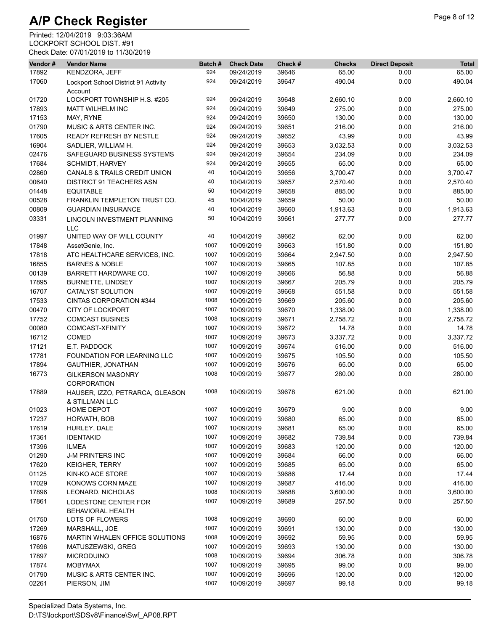| Vendor#        | <b>Vendor Name</b>                               | Batch# | <b>Check Date</b>        | Check #        | <b>Checks</b>  | <b>Direct Deposit</b> | <b>Total</b>    |
|----------------|--------------------------------------------------|--------|--------------------------|----------------|----------------|-----------------------|-----------------|
| 17892          | KENDZORA, JEFF                                   | 924    | 09/24/2019               | 39646          | 65.00          | 0.00                  | 65.00           |
| 17060          | Lockport School District 91 Activity<br>Account  | 924    | 09/24/2019               | 39647          | 490.04         | 0.00                  | 490.04          |
| 01720          | LOCKPORT TOWNSHIP H.S. #205                      | 924    | 09/24/2019               | 39648          | 2,660.10       | 0.00                  | 2,660.10        |
| 17893          | <b>MATT WILHELM INC</b>                          | 924    | 09/24/2019               | 39649          | 275.00         | 0.00                  | 275.00          |
| 17153          | MAY, RYNE                                        | 924    | 09/24/2019               | 39650          | 130.00         | 0.00                  | 130.00          |
| 01790          | <b>MUSIC &amp; ARTS CENTER INC.</b>              | 924    | 09/24/2019               | 39651          | 216.00         | 0.00                  | 216.00          |
| 17605          | READY REFRESH BY NESTLE                          | 924    | 09/24/2019               | 39652          | 43.99          | 0.00                  | 43.99           |
| 16904          | SADLIER, WILLIAM H.                              | 924    | 09/24/2019               | 39653          | 3,032.53       | 0.00                  | 3,032.53        |
| 02476          | SAFEGUARD BUSINESS SYSTEMS                       | 924    | 09/24/2019               | 39654          | 234.09         | 0.00                  | 234.09          |
| 17684          | <b>SCHMIDT, HARVEY</b>                           | 924    | 09/24/2019               | 39655          | 65.00          | 0.00                  | 65.00           |
| 02860          | <b>CANALS &amp; TRAILS CREDIT UNION</b>          | 40     | 10/04/2019               | 39656          | 3,700.47       | 0.00                  | 3,700.47        |
| 00640          | <b>DISTRICT 91 TEACHERS ASN</b>                  | 40     | 10/04/2019               | 39657          | 2,570.40       | 0.00                  | 2,570.40        |
| 01448          | <b>EQUITABLE</b>                                 | 50     | 10/04/2019               | 39658          | 885.00         | 0.00                  | 885.00          |
| 00528          | FRANKLIN TEMPLETON TRUST CO.                     | 45     | 10/04/2019               | 39659          | 50.00          | 0.00                  | 50.00           |
| 00809          | <b>GUARDIAN INSURANCE</b>                        | 40     | 10/04/2019               | 39660          | 1,913.63       | 0.00                  | 1,913.63        |
| 03331          | LINCOLN INVESTMENT PLANNING                      | 50     | 10/04/2019               | 39661          | 277.77         | 0.00                  | 277.77          |
|                | <b>LLC</b>                                       |        |                          |                |                |                       |                 |
| 01997          | UNITED WAY OF WILL COUNTY                        | 40     | 10/04/2019               | 39662          | 62.00          | 0.00                  | 62.00           |
| 17848          | AssetGenie, Inc.                                 | 1007   | 10/09/2019               | 39663          | 151.80         | 0.00                  | 151.80          |
| 17818          | ATC HEALTHCARE SERVICES, INC.                    | 1007   | 10/09/2019               | 39664          | 2,947.50       | 0.00                  | 2,947.50        |
| 16855          | <b>BARNES &amp; NOBLE</b>                        | 1007   | 10/09/2019               | 39665          | 107.85         | 0.00                  | 107.85          |
| 00139          | <b>BARRETT HARDWARE CO.</b>                      | 1007   | 10/09/2019               | 39666          | 56.88          | 0.00                  | 56.88           |
| 17895          | <b>BURNETTE, LINDSEY</b>                         | 1007   | 10/09/2019               | 39667          | 205.79         | 0.00                  | 205.79          |
| 16707          | CATALYST SOLUTION                                | 1007   | 10/09/2019               | 39668          | 551.58         | 0.00                  | 551.58          |
| 17533          | CINTAS CORPORATION #344                          | 1008   | 10/09/2019               | 39669          | 205.60         | 0.00                  | 205.60          |
| 00470          | <b>CITY OF LOCKPORT</b>                          | 1007   | 10/09/2019               | 39670          | 1,338.00       | 0.00                  | 1,338.00        |
| 17752          | <b>COMCAST BUSINES</b>                           | 1008   | 10/09/2019               | 39671          | 2,758.72       | 0.00                  | 2,758.72        |
| 00080          | COMCAST-XFINITY                                  | 1007   | 10/09/2019               | 39672          | 14.78          | 0.00                  | 14.78           |
| 16712          | COMED                                            | 1007   | 10/09/2019               | 39673          | 3,337.72       | 0.00                  | 3,337.72        |
| 17121          | E.T. PADDOCK                                     | 1007   | 10/09/2019               | 39674          | 516.00         | 0.00                  | 516.00          |
| 17781          | <b>FOUNDATION FOR LEARNING LLC</b>               | 1007   | 10/09/2019               | 39675          | 105.50         | 0.00                  | 105.50          |
| 17894          | <b>GAUTHIER, JONATHAN</b>                        | 1007   | 10/09/2019               | 39676          | 65.00          | 0.00                  | 65.00           |
| 16773          | <b>GILKERSON MASONRY</b><br><b>CORPORATION</b>   | 1008   | 10/09/2019               | 39677          | 280.00         | 0.00                  | 280.00          |
| 17889          | HAUSER, IZZO, PETRARCA, GLEASON                  | 1008   | 10/09/2019               | 39678          | 621.00         | 0.00                  | 621.00          |
|                | & STILLMAN LLC<br>HOME DEPOT                     | 1007   | 10/09/2019               | 39679          | 9.00           | 0.00                  | 9.00            |
| 01023          | HORVATH, BOB                                     | 1007   | 10/09/2019               | 39680          | 65.00          | 0.00                  | 65.00           |
| 17237<br>17619 |                                                  | 1007   | 10/09/2019               | 39681          | 65.00          |                       |                 |
| 17361          | HURLEY, DALE<br><b>IDENTAKID</b>                 | 1007   | 10/09/2019               | 39682          | 739.84         | 0.00<br>0.00          | 65.00<br>739.84 |
| 17396          | <b>ILMEA</b>                                     | 1007   | 10/09/2019               |                | 120.00         | 0.00                  | 120.00          |
| 01290          | <b>J-M PRINTERS INC</b>                          | 1007   | 10/09/2019               | 39683<br>39684 | 66.00          | 0.00                  | 66.00           |
|                |                                                  | 1007   |                          |                |                |                       |                 |
| 17620<br>01125 | <b>KEIGHER, TERRY</b><br>KIN-KO ACE STORE        | 1007   | 10/09/2019<br>10/09/2019 | 39685<br>39686 | 65.00<br>17.44 | 0.00<br>0.00          | 65.00<br>17.44  |
| 17029          | KONOWS CORN MAZE                                 | 1007   | 10/09/2019               | 39687          | 416.00         | 0.00                  | 416.00          |
|                | LEONARD, NICHOLAS                                | 1008   |                          |                | 3,600.00       |                       |                 |
| 17896          |                                                  | 1007   | 10/09/2019               | 39688          |                | 0.00                  | 3,600.00        |
| 17861          | LODESTONE CENTER FOR<br><b>BEHAVIORAL HEALTH</b> |        | 10/09/2019               | 39689          | 257.50         | 0.00                  | 257.50          |
| 01750          | LOTS OF FLOWERS                                  | 1008   | 10/09/2019               | 39690          | 60.00          | 0.00                  | 60.00           |
| 17269          | MARSHALL, JOE                                    | 1007   | 10/09/2019               | 39691          | 130.00         | 0.00                  | 130.00          |
| 16876          | MARTIN WHALEN OFFICE SOLUTIONS                   | 1008   | 10/09/2019               | 39692          | 59.95          | 0.00                  | 59.95           |
| 17696          | MATUSZEWSKI, GREG                                | 1007   | 10/09/2019               | 39693          | 130.00         | 0.00                  | 130.00          |
| 17897          | <b>MICRODUINO</b>                                | 1008   | 10/09/2019               | 39694          | 306.78         | 0.00                  | 306.78          |
| 17874          | <b>MOBYMAX</b>                                   | 1007   | 10/09/2019               | 39695          | 99.00          | 0.00                  | 99.00           |
| 01790          | MUSIC & ARTS CENTER INC.                         | 1007   | 10/09/2019               | 39696          | 120.00         | 0.00                  | 120.00          |
| 02261          | PIERSON, JIM                                     | 1007   | 10/09/2019               | 39697          | 99.18          | 0.00                  | 99.18           |
|                |                                                  |        |                          |                |                |                       |                 |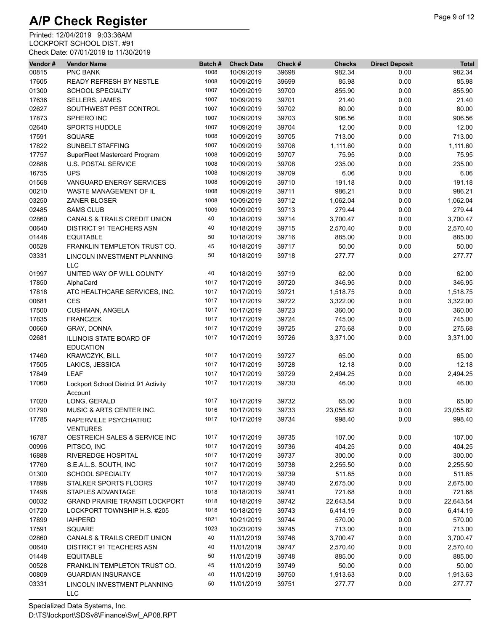| Vendor# | <b>Vendor Name</b>                               | Batch# | <b>Check Date</b> | Check # | <b>Checks</b> | <b>Direct Deposit</b> | <b>Total</b> |
|---------|--------------------------------------------------|--------|-------------------|---------|---------------|-----------------------|--------------|
| 00815   | <b>PNC BANK</b>                                  | 1008   | 10/09/2019        | 39698   | 982.34        | 0.00                  | 982.34       |
| 17605   | READY REFRESH BY NESTLE                          | 1008   | 10/09/2019        | 39699   | 85.98         | 0.00                  | 85.98        |
| 01300   | <b>SCHOOL SPECIALTY</b>                          | 1007   | 10/09/2019        | 39700   | 855.90        | 0.00                  | 855.90       |
| 17636   | <b>SELLERS, JAMES</b>                            | 1007   | 10/09/2019        | 39701   | 21.40         | 0.00                  | 21.40        |
| 02627   | SOUTHWEST PEST CONTROL                           | 1007   | 10/09/2019        | 39702   | 80.00         | 0.00                  | 80.00        |
| 17873   | SPHERO INC                                       | 1007   | 10/09/2019        | 39703   | 906.56        | 0.00                  | 906.56       |
| 02640   | SPORTS HUDDLE                                    | 1007   | 10/09/2019        | 39704   | 12.00         | 0.00                  | 12.00        |
| 17591   | <b>SQUARE</b>                                    | 1008   | 10/09/2019        | 39705   | 713.00        | 0.00                  | 713.00       |
| 17822   | <b>SUNBELT STAFFING</b>                          | 1007   | 10/09/2019        | 39706   | 1,111.60      | 0.00                  | 1,111.60     |
| 17757   | SuperFleet Mastercard Program                    | 1008   | 10/09/2019        | 39707   | 75.95         | 0.00                  | 75.95        |
| 02888   | <b>U.S. POSTAL SERVICE</b>                       | 1008   | 10/09/2019        | 39708   | 235.00        | 0.00                  | 235.00       |
| 16755   | <b>UPS</b>                                       | 1008   | 10/09/2019        | 39709   | 6.06          | 0.00                  | 6.06         |
| 01568   | VANGUARD ENERGY SERVICES                         | 1008   | 10/09/2019        | 39710   | 191.18        | 0.00                  | 191.18       |
| 00210   | WASTE MANAGEMENT OF IL                           | 1008   | 10/09/2019        | 39711   | 986.21        | 0.00                  | 986.21       |
| 03250   | ZANER BLOSER                                     | 1008   | 10/09/2019        | 39712   | 1,062.04      | 0.00                  | 1,062.04     |
| 02485   | <b>SAMS CLUB</b>                                 | 1009   | 10/09/2019        | 39713   | 279.44        | 0.00                  | 279.44       |
| 02860   | CANALS & TRAILS CREDIT UNION                     | 40     | 10/18/2019        | 39714   | 3,700.47      | 0.00                  | 3,700.47     |
| 00640   | <b>DISTRICT 91 TEACHERS ASN</b>                  | 40     | 10/18/2019        | 39715   | 2,570.40      | 0.00                  | 2,570.40     |
| 01448   | <b>EQUITABLE</b>                                 | 50     | 10/18/2019        | 39716   | 885.00        | 0.00                  | 885.00       |
| 00528   | FRANKLIN TEMPLETON TRUST CO.                     | 45     | 10/18/2019        | 39717   | 50.00         | 0.00                  | 50.00        |
| 03331   | <b>LINCOLN INVESTMENT PLANNING</b><br><b>LLC</b> | 50     | 10/18/2019        | 39718   | 277.77        | 0.00                  | 277.77       |
| 01997   | UNITED WAY OF WILL COUNTY                        | 40     | 10/18/2019        | 39719   | 62.00         | 0.00                  | 62.00        |
| 17850   | AlphaCard                                        | 1017   | 10/17/2019        | 39720   | 346.95        | 0.00                  | 346.95       |
| 17818   | ATC HEALTHCARE SERVICES, INC.                    | 1017   | 10/17/2019        | 39721   | 1,518.75      | 0.00                  | 1,518.75     |
| 00681   | <b>CES</b>                                       | 1017   | 10/17/2019        | 39722   | 3,322.00      | 0.00                  | 3,322.00     |
| 17500   | <b>CUSHMAN, ANGELA</b>                           | 1017   | 10/17/2019        | 39723   | 360.00        | 0.00                  | 360.00       |
| 17835   | <b>FRANCZEK</b>                                  | 1017   | 10/17/2019        | 39724   | 745.00        | 0.00                  | 745.00       |
| 00660   | GRAY, DONNA                                      | 1017   | 10/17/2019        | 39725   | 275.68        | 0.00                  | 275.68       |
| 02681   | ILLINOIS STATE BOARD OF<br><b>EDUCATION</b>      | 1017   | 10/17/2019        | 39726   | 3,371.00      | 0.00                  | 3,371.00     |
| 17460   | KRAWCZYK, BILL                                   | 1017   | 10/17/2019        | 39727   | 65.00         | 0.00                  | 65.00        |
| 17505   | LAKICS, JESSICA                                  | 1017   | 10/17/2019        | 39728   | 12.18         | 0.00                  | 12.18        |
| 17849   | <b>LEAF</b>                                      | 1017   | 10/17/2019        | 39729   | 2,494.25      | 0.00                  | 2,494.25     |
| 17060   | Lockport School District 91 Activity<br>Account  | 1017   | 10/17/2019        | 39730   | 46.00         | 0.00                  | 46.00        |
| 17020   | LONG, GERALD                                     | 1017   | 10/17/2019        | 39732   | 65.00         | 0.00                  | 65.00        |
| 01790   | MUSIC & ARTS CENTER INC.                         | 1016   | 10/17/2019        | 39733   | 23,055.82     | 0.00                  | 23,055.82    |
| 17785   | NAPERVILLE PSYCHIATRIC<br><b>VENTURES</b>        | 1017   | 10/17/2019        | 39734   | 998.40        | 0.00                  | 998.40       |
| 16787   | OESTREICH SALES & SERVICE INC                    | 1017   | 10/17/2019        | 39735   | 107.00        | 0.00                  | 107.00       |
| 00996   | PITSCO, INC                                      | 1017   | 10/17/2019        | 39736   | 404.25        | 0.00                  | 404.25       |
| 16888   | RIVEREDGE HOSPITAL                               | 1017   | 10/17/2019        | 39737   | 300.00        | 0.00                  | 300.00       |
| 17760   | S.E.A.L.S. SOUTH, INC                            | 1017   | 10/17/2019        | 39738   | 2,255.50      | 0.00                  | 2,255.50     |
| 01300   | <b>SCHOOL SPECIALTY</b>                          | 1017   | 10/17/2019        | 39739   | 511.85        | 0.00                  | 511.85       |
| 17898   | STALKER SPORTS FLOORS                            | 1017   | 10/17/2019        | 39740   | 2,675.00      | 0.00                  | 2,675.00     |
| 17498   | STAPLES ADVANTAGE                                | 1018   | 10/18/2019        | 39741   | 721.68        | 0.00                  | 721.68       |
| 00032   | <b>GRAND PRAIRIE TRANSIT LOCKPORT</b>            | 1018   | 10/18/2019        | 39742   | 22,643.54     | 0.00                  | 22,643.54    |
| 01720   | LOCKPORT TOWNSHIP H.S. #205                      | 1018   | 10/18/2019        | 39743   | 6,414.19      | 0.00                  | 6,414.19     |
| 17899   | <b>IAHPERD</b>                                   | 1021   | 10/21/2019        | 39744   | 570.00        | 0.00                  | 570.00       |
| 17591   | <b>SQUARE</b>                                    | 1023   | 10/23/2019        | 39745   | 713.00        | 0.00                  | 713.00       |
| 02860   | CANALS & TRAILS CREDIT UNION                     | 40     | 11/01/2019        | 39746   | 3,700.47      | 0.00                  | 3,700.47     |
| 00640   | DISTRICT 91 TEACHERS ASN                         | 40     | 11/01/2019        | 39747   | 2,570.40      | 0.00                  | 2,570.40     |
| 01448   | <b>EQUITABLE</b>                                 | 50     | 11/01/2019        | 39748   | 885.00        | 0.00                  | 885.00       |
| 00528   | FRANKLIN TEMPLETON TRUST CO.                     | 45     | 11/01/2019        | 39749   | 50.00         | 0.00                  | 50.00        |
| 00809   | <b>GUARDIAN INSURANCE</b>                        | 40     | 11/01/2019        | 39750   | 1,913.63      | 0.00                  | 1,913.63     |
| 03331   | LINCOLN INVESTMENT PLANNING<br>LLC               | 50     | 11/01/2019        | 39751   | 277.77        | 0.00                  | 277.77       |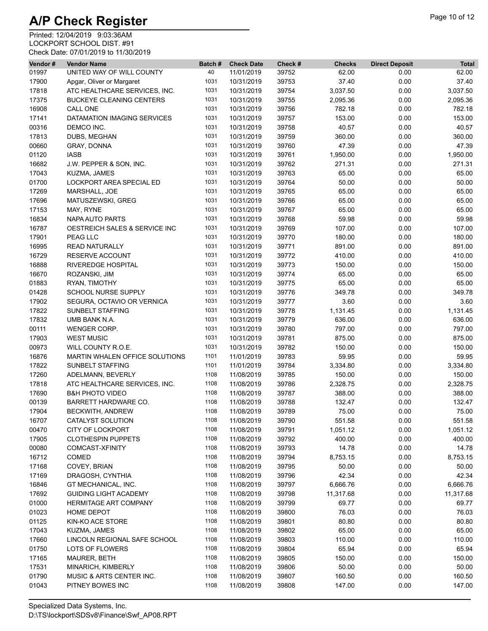| Vendor# | <b>Vendor Name</b>                       | Batch# | <b>Check Date</b>        | Check #        | <b>Checks</b>      | <b>Direct Deposit</b> | <b>Total</b> |
|---------|------------------------------------------|--------|--------------------------|----------------|--------------------|-----------------------|--------------|
| 01997   | UNITED WAY OF WILL COUNTY                | 40     | 11/01/2019               | 39752          | 62.00              | 0.00                  | 62.00        |
| 17900   | Apgar, Oliver or Margaret                | 1031   | 10/31/2019               | 39753          | 37.40              | 0.00                  | 37.40        |
| 17818   | ATC HEALTHCARE SERVICES, INC.            | 1031   | 10/31/2019               | 39754          | 3,037.50           | 0.00                  | 3,037.50     |
| 17375   | <b>BUCKEYE CLEANING CENTERS</b>          | 1031   | 10/31/2019               | 39755          | 2,095.36           | 0.00                  | 2,095.36     |
| 16908   | CALL ONE                                 | 1031   | 10/31/2019               | 39756          | 782.18             | 0.00                  | 782.18       |
| 17141   | DATAMATION IMAGING SERVICES              | 1031   | 10/31/2019               | 39757          | 153.00             | 0.00                  | 153.00       |
| 00316   | DEMCO INC.                               | 1031   | 10/31/2019               | 39758          | 40.57              | 0.00                  | 40.57        |
| 17813   | DUBS, MEGHAN                             | 1031   | 10/31/2019               | 39759          | 360.00             | 0.00                  | 360.00       |
| 00660   | GRAY, DONNA                              | 1031   | 10/31/2019               | 39760          | 47.39              | 0.00                  | 47.39        |
| 01120   | <b>IASB</b>                              | 1031   | 10/31/2019               | 39761          | 1,950.00           | 0.00                  | 1,950.00     |
| 16682   | J.W. PEPPER & SON, INC.                  | 1031   | 10/31/2019               | 39762          | 271.31             | 0.00                  | 271.31       |
| 17043   | KUZMA, JAMES                             | 1031   | 10/31/2019               | 39763          | 65.00              | 0.00                  | 65.00        |
| 01700   | LOCKPORT AREA SPECIAL ED                 | 1031   | 10/31/2019               | 39764          | 50.00              | 0.00                  | 50.00        |
| 17269   | MARSHALL, JOE                            | 1031   | 10/31/2019               | 39765          | 65.00              | 0.00                  | 65.00        |
| 17696   | MATUSZEWSKI, GREG                        | 1031   | 10/31/2019               | 39766          | 65.00              | 0.00                  | 65.00        |
| 17153   | MAY, RYNE                                | 1031   | 10/31/2019               | 39767          | 65.00              | 0.00                  | 65.00        |
| 16834   | <b>NAPA AUTO PARTS</b>                   | 1031   | 10/31/2019               | 39768          | 59.98              | 0.00                  | 59.98        |
| 16787   | <b>OESTREICH SALES &amp; SERVICE INC</b> | 1031   | 10/31/2019               | 39769          | 107.00             | 0.00                  | 107.00       |
| 17901   | PEAG LLC                                 | 1031   | 10/31/2019               | 39770          | 180.00             | 0.00                  | 180.00       |
| 16995   | <b>READ NATURALLY</b>                    | 1031   | 10/31/2019               | 39771          | 891.00             | 0.00                  | 891.00       |
| 16729   | <b>RESERVE ACCOUNT</b>                   | 1031   | 10/31/2019               | 39772          | 410.00             | 0.00                  | 410.00       |
| 16888   | <b>RIVEREDGE HOSPITAL</b>                | 1031   | 10/31/2019               | 39773          | 150.00             | 0.00                  | 150.00       |
| 16670   | ROZANSKI, JIM                            | 1031   | 10/31/2019               | 39774          | 65.00              | 0.00                  | 65.00        |
| 01883   | RYAN, TIMOTHY                            | 1031   | 10/31/2019               | 39775          | 65.00              | 0.00                  | 65.00        |
| 01428   | SCHOOL NURSE SUPPLY                      | 1031   | 10/31/2019               | 39776          | 349.78             | 0.00                  | 349.78       |
| 17902   | SEGURA, OCTAVIO OR VERNICA               | 1031   | 10/31/2019               | 39777          | 3.60               | 0.00                  | 3.60         |
| 17822   | <b>SUNBELT STAFFING</b>                  | 1031   | 10/31/2019               | 39778          | 1,131.45           | 0.00                  | 1,131.45     |
| 17832   | UMB BANK N.A.                            | 1031   | 10/31/2019               | 39779          | 636.00             | 0.00                  | 636.00       |
| 00111   | WENGER CORP.                             | 1031   | 10/31/2019               | 39780          | 797.00             | 0.00                  | 797.00       |
| 17903   | <b>WEST MUSIC</b>                        | 1031   | 10/31/2019               | 39781          | 875.00             | 0.00                  | 875.00       |
| 00973   | WILL COUNTY R.O.E.                       | 1031   | 10/31/2019               | 39782          | 150.00             | 0.00                  | 150.00       |
| 16876   | MARTIN WHALEN OFFICE SOLUTIONS           | 1101   | 11/01/2019               | 39783          | 59.95              | 0.00                  | 59.95        |
| 17822   | <b>SUNBELT STAFFING</b>                  | 1101   | 11/01/2019               | 39784          | 3,334.80           | 0.00                  | 3,334.80     |
| 17260   | ADELMANN, BEVERLY                        | 1108   | 11/08/2019               | 39785          | 150.00             | 0.00                  | 150.00       |
| 17818   | ATC HEALTHCARE SERVICES, INC.            | 1108   | 11/08/2019               | 39786          | 2,328.75           | 0.00                  | 2,328.75     |
| 17690   | <b>B&amp;H PHOTO VIDEO</b>               | 1108   | 11/08/2019               | 39787          | 388.00             | 0.00                  | 388.00       |
| 00139   | BARRETT HARDWARE CO.                     | 1108   | 11/08/2019               | 39788          | 132.47             | 0.00                  | 132.47       |
| 17904   | BECKWITH, ANDREW                         | 1108   | 11/08/2019               | 39789          | 75.00              | 0.00                  | 75.00        |
| 16707   | CATALYST SOLUTION                        | 1108   |                          |                |                    |                       | 551.58       |
| 00470   | <b>CITY OF LOCKPORT</b>                  | 1108   | 11/08/2019<br>11/08/2019 | 39790<br>39791 | 551.58<br>1,051.12 | 0.00<br>0.00          | 1,051.12     |
| 17905   | <b>CLOTHESPIN PUPPETS</b>                | 1108   | 11/08/2019               | 39792          | 400.00             | 0.00                  | 400.00       |
| 00080   | COMCAST-XFINITY                          | 1108   | 11/08/2019               | 39793          | 14.78              | 0.00                  | 14.78        |
| 16712   | <b>COMED</b>                             | 1108   | 11/08/2019               | 39794          |                    | 0.00                  | 8,753.15     |
|         |                                          | 1108   |                          |                | 8,753.15           |                       |              |
| 17168   | COVEY, BRIAN                             |        | 11/08/2019               | 39795          | 50.00              | 0.00                  | 50.00        |
| 17169   | DRAGOSH, CYNTHIA                         | 1108   | 11/08/2019               | 39796          | 42.34              | 0.00                  | 42.34        |
| 16846   | GT MECHANICAL, INC.                      | 1108   | 11/08/2019               | 39797          | 6,666.76           | 0.00                  | 6,666.76     |
| 17692   | <b>GUIDING LIGHT ACADEMY</b>             | 1108   | 11/08/2019               | 39798          | 11,317.68          | 0.00                  | 11,317.68    |
| 01000   | <b>HERMITAGE ART COMPANY</b>             | 1108   | 11/08/2019               | 39799          | 69.77              | 0.00                  | 69.77        |
| 01023   | HOME DEPOT                               | 1108   | 11/08/2019               | 39800          | 76.03              | 0.00                  | 76.03        |
| 01125   | KIN-KO ACE STORE                         | 1108   | 11/08/2019               | 39801          | 80.80              | 0.00                  | 80.80        |
| 17043   | KUZMA, JAMES                             | 1108   | 11/08/2019               | 39802          | 65.00              | 0.00                  | 65.00        |
| 17660   | LINCOLN REGIONAL SAFE SCHOOL             | 1108   | 11/08/2019               | 39803          | 110.00             | 0.00                  | 110.00       |
| 01750   | LOTS OF FLOWERS                          | 1108   | 11/08/2019               | 39804          | 65.94              | 0.00                  | 65.94        |
| 17165   | MAURER, BETH                             | 1108   | 11/08/2019               | 39805          | 150.00             | 0.00                  | 150.00       |
| 17531   | MINARICH, KIMBERLY                       | 1108   | 11/08/2019               | 39806          | 50.00              | 0.00                  | 50.00        |
| 01790   | MUSIC & ARTS CENTER INC.                 | 1108   | 11/08/2019               | 39807          | 160.50             | 0.00                  | 160.50       |
| 01043   | PITNEY BOWES INC                         | 1108   | 11/08/2019               | 39808          | 147.00             | 0.00                  | 147.00       |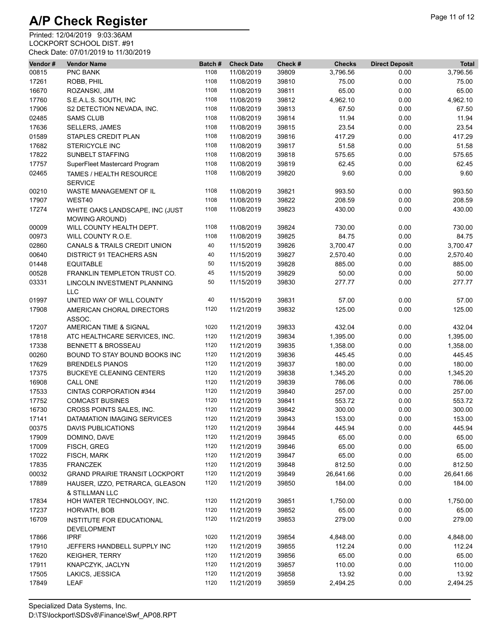| Vendor# | <b>Vendor Name</b>                                       | Batch# | <b>Check Date</b> | Check # | <b>Checks</b> | <b>Direct Deposit</b> | <b>Total</b> |
|---------|----------------------------------------------------------|--------|-------------------|---------|---------------|-----------------------|--------------|
| 00815   | PNC BANK                                                 | 1108   | 11/08/2019        | 39809   | 3,796.56      | 0.00                  | 3,796.56     |
| 17261   | ROBB, PHIL                                               | 1108   | 11/08/2019        | 39810   | 75.00         | 0.00                  | 75.00        |
| 16670   | ROZANSKI, JIM                                            | 1108   | 11/08/2019        | 39811   | 65.00         | 0.00                  | 65.00        |
| 17760   | S.E.A.L.S. SOUTH, INC                                    | 1108   | 11/08/2019        | 39812   | 4,962.10      | 0.00                  | 4,962.10     |
| 17906   | S2 DETECTION NEVADA, INC.                                | 1108   | 11/08/2019        | 39813   | 67.50         | 0.00                  | 67.50        |
| 02485   | <b>SAMS CLUB</b>                                         | 1108   | 11/08/2019        | 39814   | 11.94         | 0.00                  | 11.94        |
| 17636   | <b>SELLERS, JAMES</b>                                    | 1108   | 11/08/2019        | 39815   | 23.54         | 0.00                  | 23.54        |
| 01589   | STAPLES CREDIT PLAN                                      | 1108   | 11/08/2019        | 39816   | 417.29        | 0.00                  | 417.29       |
| 17682   | <b>STERICYCLE INC</b>                                    | 1108   | 11/08/2019        | 39817   | 51.58         | 0.00                  | 51.58        |
| 17822   | SUNBELT STAFFING                                         | 1108   | 11/08/2019        | 39818   | 575.65        | 0.00                  | 575.65       |
| 17757   | SuperFleet Mastercard Program                            | 1108   | 11/08/2019        | 39819   | 62.45         | 0.00                  | 62.45        |
| 02465   | TAMES / HEALTH RESOURCE<br><b>SERVICE</b>                | 1108   | 11/08/2019        | 39820   | 9.60          | 0.00                  | 9.60         |
| 00210   | WASTE MANAGEMENT OF IL                                   | 1108   | 11/08/2019        | 39821   | 993.50        | 0.00                  | 993.50       |
| 17907   | WEST40                                                   | 1108   | 11/08/2019        | 39822   | 208.59        | 0.00                  | 208.59       |
| 17274   | WHITE OAKS LANDSCAPE, INC (JUST<br><b>MOWING AROUND)</b> | 1108   | 11/08/2019        | 39823   | 430.00        | 0.00                  | 430.00       |
| 00009   | WILL COUNTY HEALTH DEPT.                                 | 1108   | 11/08/2019        | 39824   | 730.00        | 0.00                  | 730.00       |
| 00973   | WILL COUNTY R.O.E.                                       | 1108   | 11/08/2019        | 39825   | 84.75         | 0.00                  | 84.75        |
| 02860   | CANALS & TRAILS CREDIT UNION                             | 40     | 11/15/2019        | 39826   | 3,700.47      | 0.00                  | 3,700.47     |
| 00640   | DISTRICT 91 TEACHERS ASN                                 | 40     | 11/15/2019        | 39827   | 2,570.40      | 0.00                  | 2,570.40     |
| 01448   | <b>EQUITABLE</b>                                         | 50     | 11/15/2019        | 39828   | 885.00        | 0.00                  | 885.00       |
| 00528   | FRANKLIN TEMPLETON TRUST CO.                             | 45     | 11/15/2019        | 39829   | 50.00         | 0.00                  | 50.00        |
| 03331   | LINCOLN INVESTMENT PLANNING<br><b>LLC</b>                | 50     | 11/15/2019        | 39830   | 277.77        | 0.00                  | 277.77       |
| 01997   | UNITED WAY OF WILL COUNTY                                | 40     | 11/15/2019        | 39831   | 57.00         | 0.00                  | 57.00        |
| 17908   | AMERICAN CHORAL DIRECTORS<br>ASSOC.                      | 1120   | 11/21/2019        | 39832   | 125.00        | 0.00                  | 125.00       |
| 17207   | AMERICAN TIME & SIGNAL                                   | 1020   | 11/21/2019        | 39833   | 432.04        | 0.00                  | 432.04       |
| 17818   | ATC HEALTHCARE SERVICES, INC.                            | 1120   | 11/21/2019        | 39834   | 1,395.00      | 0.00                  | 1,395.00     |
| 17338   | <b>BENNETT &amp; BROSSEAU</b>                            | 1120   | 11/21/2019        | 39835   | 1,358.00      | 0.00                  | 1,358.00     |
| 00260   | BOUND TO STAY BOUND BOOKS INC                            | 1120   | 11/21/2019        | 39836   | 445.45        | 0.00                  | 445.45       |
| 17629   | <b>BRENDELS PIANOS</b>                                   | 1120   | 11/21/2019        | 39837   | 180.00        | 0.00                  | 180.00       |
| 17375   | <b>BUCKEYE CLEANING CENTERS</b>                          | 1120   | 11/21/2019        | 39838   | 1,345.20      | 0.00                  | 1,345.20     |
| 16908   | CALL ONE                                                 | 1120   | 11/21/2019        | 39839   | 786.06        | 0.00                  | 786.06       |
| 17533   | CINTAS CORPORATION #344                                  | 1120   | 11/21/2019        | 39840   | 257.00        | 0.00                  | 257.00       |
| 17752   | <b>COMCAST BUSINES</b>                                   | 1120   | 11/21/2019        | 39841   | 553.72        | 0.00                  | 553.72       |
| 16730   | CROSS POINTS SALES, INC.                                 | 1120   | 11/21/2019        | 39842   | 300.00        | 0.00                  | 300.00       |
| 17141   | DATAMATION IMAGING SERVICES                              | 1120   | 11/21/2019        | 39843   | 153.00        | $0.00\,$              | 153.00       |
| 00375   | <b>DAVIS PUBLICATIONS</b>                                | 1120   | 11/21/2019        | 39844   | 445.94        | 0.00                  | 445.94       |
| 17909   | DOMINO, DAVE                                             | 1120   | 11/21/2019        | 39845   | 65.00         | 0.00                  | 65.00        |
| 17009   | FISCH, GREG                                              | 1120   | 11/21/2019        | 39846   | 65.00         | 0.00                  | 65.00        |
| 17022   | FISCH, MARK                                              | 1120   | 11/21/2019        | 39847   | 65.00         | 0.00                  | 65.00        |
| 17835   | <b>FRANCZEK</b>                                          | 1120   | 11/21/2019        | 39848   | 812.50        | 0.00                  | 812.50       |
| 00032   | <b>GRAND PRAIRIE TRANSIT LOCKPORT</b>                    | 1120   | 11/21/2019        | 39849   | 26,641.66     | 0.00                  | 26,641.66    |
| 17889   | HAUSER, IZZO, PETRARCA, GLEASON<br>& STILLMAN LLC        | 1120   | 11/21/2019        | 39850   | 184.00        | 0.00                  | 184.00       |
| 17834   | HOH WATER TECHNOLOGY, INC.                               | 1120   | 11/21/2019        | 39851   | 1,750.00      | 0.00                  | 1,750.00     |
| 17237   | HORVATH, BOB                                             | 1120   | 11/21/2019        | 39852   | 65.00         | 0.00                  | 65.00        |
| 16709   | INSTITUTE FOR EDUCATIONAL<br><b>DEVELOPMENT</b>          | 1120   | 11/21/2019        | 39853   | 279.00        | 0.00                  | 279.00       |
| 17866   | <b>IPRF</b>                                              | 1020   | 11/21/2019        | 39854   | 4,848.00      | 0.00                  | 4,848.00     |
| 17910   | JEFFERS HANDBELL SUPPLY INC                              | 1120   | 11/21/2019        | 39855   | 112.24        | 0.00                  | 112.24       |
| 17620   | <b>KEIGHER, TERRY</b>                                    | 1120   | 11/21/2019        | 39856   | 65.00         | 0.00                  | 65.00        |
| 17911   | KNAPCZYK, JACLYN                                         | 1120   | 11/21/2019        | 39857   | 110.00        | 0.00                  | 110.00       |
| 17505   | LAKICS, JESSICA                                          | 1120   | 11/21/2019        | 39858   | 13.92         | 0.00                  | 13.92        |
| 17849   | LEAF                                                     | 1120   | 11/21/2019        | 39859   | 2,494.25      | 0.00                  | 2,494.25     |